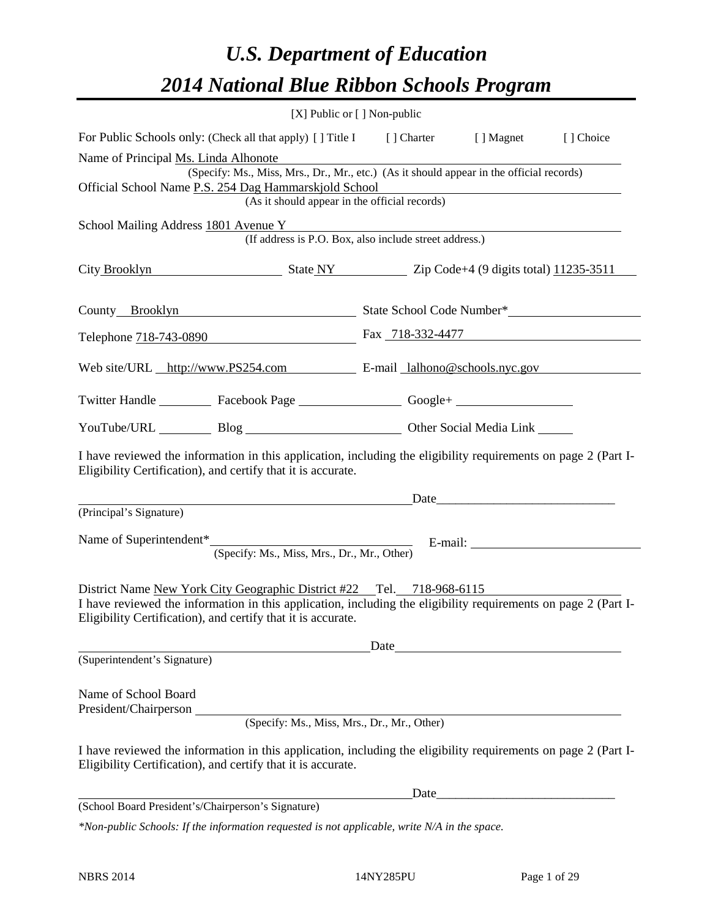# *U.S. Department of Education 2014 National Blue Ribbon Schools Program*

|                                                                                                                                                                                | [X] Public or [] Non-public                            |  |                                                                                                                                                                                                                               |  |  |  |  |  |
|--------------------------------------------------------------------------------------------------------------------------------------------------------------------------------|--------------------------------------------------------|--|-------------------------------------------------------------------------------------------------------------------------------------------------------------------------------------------------------------------------------|--|--|--|--|--|
| For Public Schools only: (Check all that apply) [] Title I [] Charter [] Magnet<br>[] Choice                                                                                   |                                                        |  |                                                                                                                                                                                                                               |  |  |  |  |  |
| Name of Principal Ms. Linda Alhonote                                                                                                                                           |                                                        |  |                                                                                                                                                                                                                               |  |  |  |  |  |
| (Specify: Ms., Miss, Mrs., Dr., Mr., etc.) (As it should appear in the official records)                                                                                       |                                                        |  |                                                                                                                                                                                                                               |  |  |  |  |  |
| Official School Name P.S. 254 Dag Hammarskjold School<br>(As it should appear in the official records)                                                                         |                                                        |  |                                                                                                                                                                                                                               |  |  |  |  |  |
|                                                                                                                                                                                |                                                        |  |                                                                                                                                                                                                                               |  |  |  |  |  |
| School Mailing Address 1801 Avenue Y<br>(If address is P.O. Box, also include street address.)                                                                                 |                                                        |  |                                                                                                                                                                                                                               |  |  |  |  |  |
| City Brooklyn State NY Zip Code+4 (9 digits total) 11235-3511                                                                                                                  |                                                        |  |                                                                                                                                                                                                                               |  |  |  |  |  |
|                                                                                                                                                                                | County Brooklyn State School Code Number*              |  |                                                                                                                                                                                                                               |  |  |  |  |  |
| Telephone 718-743-0890 Fax 718-332-4477                                                                                                                                        |                                                        |  |                                                                                                                                                                                                                               |  |  |  |  |  |
| Web site/URL http://www.PS254.com E-mail lalhono@schools.nyc.gov                                                                                                               |                                                        |  |                                                                                                                                                                                                                               |  |  |  |  |  |
| Twitter Handle ___________ Facebook Page ___________________ Google+ ____________                                                                                              |                                                        |  |                                                                                                                                                                                                                               |  |  |  |  |  |
|                                                                                                                                                                                | YouTube/URL Blog Blog Discount Other Social Media Link |  |                                                                                                                                                                                                                               |  |  |  |  |  |
| I have reviewed the information in this application, including the eligibility requirements on page 2 (Part I-<br>Eligibility Certification), and certify that it is accurate. |                                                        |  |                                                                                                                                                                                                                               |  |  |  |  |  |
|                                                                                                                                                                                |                                                        |  |                                                                                                                                                                                                                               |  |  |  |  |  |
| (Principal's Signature)                                                                                                                                                        |                                                        |  |                                                                                                                                                                                                                               |  |  |  |  |  |
| Name of Superintendent <sup>*</sup>                                                                                                                                            |                                                        |  |                                                                                                                                                                                                                               |  |  |  |  |  |
| (Specify: Ms., Miss, Mrs., Dr., Mr., Other)                                                                                                                                    |                                                        |  |                                                                                                                                                                                                                               |  |  |  |  |  |
|                                                                                                                                                                                |                                                        |  |                                                                                                                                                                                                                               |  |  |  |  |  |
| District Name New York City Geographic District #22 Tel. 718-968-6115                                                                                                          |                                                        |  |                                                                                                                                                                                                                               |  |  |  |  |  |
| I have reviewed the information in this application, including the eligibility requirements on page 2 (Part I-                                                                 |                                                        |  |                                                                                                                                                                                                                               |  |  |  |  |  |
| Eligibility Certification), and certify that it is accurate.                                                                                                                   |                                                        |  |                                                                                                                                                                                                                               |  |  |  |  |  |
|                                                                                                                                                                                |                                                        |  | Date and the same state of the state of the state of the state of the state of the state of the state of the state of the state of the state of the state of the state of the state of the state of the state of the state of |  |  |  |  |  |
| (Superintendent's Signature)                                                                                                                                                   |                                                        |  |                                                                                                                                                                                                                               |  |  |  |  |  |
|                                                                                                                                                                                |                                                        |  |                                                                                                                                                                                                                               |  |  |  |  |  |
| Name of School Board                                                                                                                                                           |                                                        |  |                                                                                                                                                                                                                               |  |  |  |  |  |
| President/Chairperson<br>(Specify: Ms., Miss, Mrs., Dr., Mr., Other)                                                                                                           |                                                        |  |                                                                                                                                                                                                                               |  |  |  |  |  |
|                                                                                                                                                                                |                                                        |  |                                                                                                                                                                                                                               |  |  |  |  |  |
| I have reviewed the information in this application, including the eligibility requirements on page 2 (Part I-<br>Eligibility Certification), and certify that it is accurate. |                                                        |  |                                                                                                                                                                                                                               |  |  |  |  |  |
|                                                                                                                                                                                |                                                        |  | Date                                                                                                                                                                                                                          |  |  |  |  |  |
| (School Board President's/Chairperson's Signature)                                                                                                                             |                                                        |  |                                                                                                                                                                                                                               |  |  |  |  |  |

*\*Non-public Schools: If the information requested is not applicable, write N/A in the space.*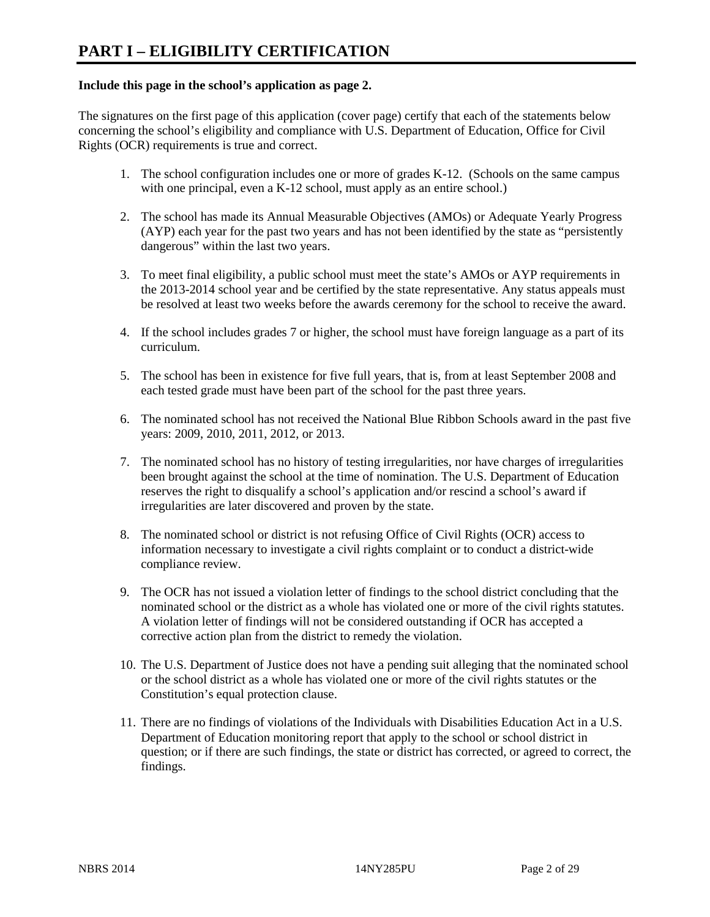## **Include this page in the school's application as page 2.**

The signatures on the first page of this application (cover page) certify that each of the statements below concerning the school's eligibility and compliance with U.S. Department of Education, Office for Civil Rights (OCR) requirements is true and correct.

- 1. The school configuration includes one or more of grades K-12. (Schools on the same campus with one principal, even a K-12 school, must apply as an entire school.)
- 2. The school has made its Annual Measurable Objectives (AMOs) or Adequate Yearly Progress (AYP) each year for the past two years and has not been identified by the state as "persistently dangerous" within the last two years.
- 3. To meet final eligibility, a public school must meet the state's AMOs or AYP requirements in the 2013-2014 school year and be certified by the state representative. Any status appeals must be resolved at least two weeks before the awards ceremony for the school to receive the award.
- 4. If the school includes grades 7 or higher, the school must have foreign language as a part of its curriculum.
- 5. The school has been in existence for five full years, that is, from at least September 2008 and each tested grade must have been part of the school for the past three years.
- 6. The nominated school has not received the National Blue Ribbon Schools award in the past five years: 2009, 2010, 2011, 2012, or 2013.
- 7. The nominated school has no history of testing irregularities, nor have charges of irregularities been brought against the school at the time of nomination. The U.S. Department of Education reserves the right to disqualify a school's application and/or rescind a school's award if irregularities are later discovered and proven by the state.
- 8. The nominated school or district is not refusing Office of Civil Rights (OCR) access to information necessary to investigate a civil rights complaint or to conduct a district-wide compliance review.
- 9. The OCR has not issued a violation letter of findings to the school district concluding that the nominated school or the district as a whole has violated one or more of the civil rights statutes. A violation letter of findings will not be considered outstanding if OCR has accepted a corrective action plan from the district to remedy the violation.
- 10. The U.S. Department of Justice does not have a pending suit alleging that the nominated school or the school district as a whole has violated one or more of the civil rights statutes or the Constitution's equal protection clause.
- 11. There are no findings of violations of the Individuals with Disabilities Education Act in a U.S. Department of Education monitoring report that apply to the school or school district in question; or if there are such findings, the state or district has corrected, or agreed to correct, the findings.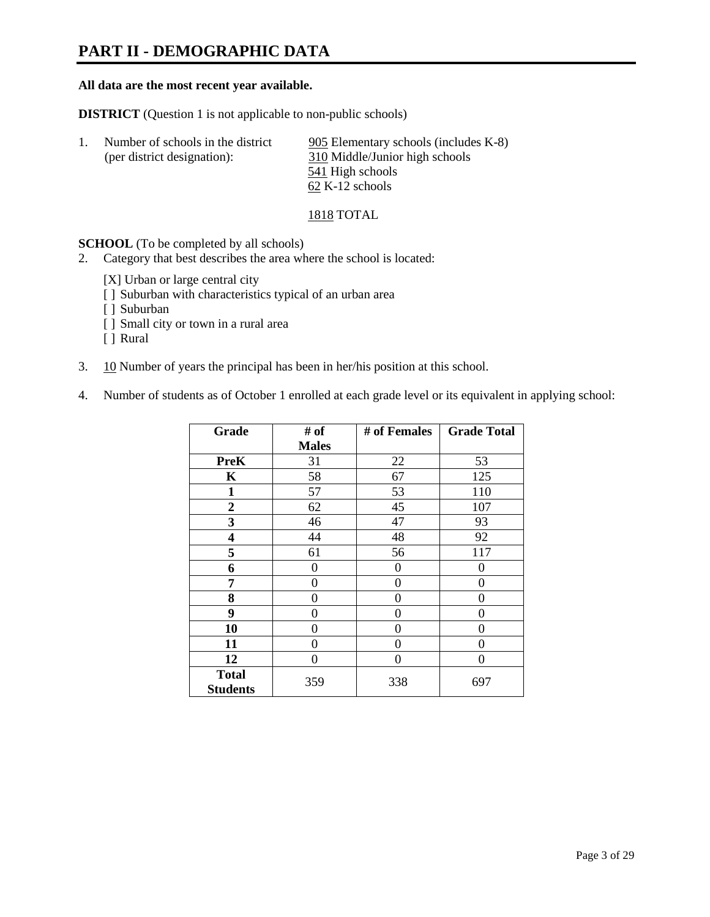# **PART II - DEMOGRAPHIC DATA**

#### **All data are the most recent year available.**

**DISTRICT** (Question 1 is not applicable to non-public schools)

| Number of schools in the district<br>(per district designation): | 905 Elementary schools (includes K-8)<br>310 Middle/Junior high schools |  |  |
|------------------------------------------------------------------|-------------------------------------------------------------------------|--|--|
|                                                                  | 541 High schools                                                        |  |  |
|                                                                  | $62$ K-12 schools                                                       |  |  |

1818 TOTAL

**SCHOOL** (To be completed by all schools)

- 2. Category that best describes the area where the school is located:
	- [X] Urban or large central city
	- [ ] Suburban with characteristics typical of an urban area
	- [ ] Suburban
	- [ ] Small city or town in a rural area
	- [ ] Rural
- 3. 10 Number of years the principal has been in her/his position at this school.
- 4. Number of students as of October 1 enrolled at each grade level or its equivalent in applying school:

| Grade                           | # of         | # of Females | <b>Grade Total</b> |
|---------------------------------|--------------|--------------|--------------------|
|                                 | <b>Males</b> |              |                    |
| <b>PreK</b>                     | 31           | 22           | 53                 |
| K                               | 58           | 67           | 125                |
| $\mathbf{1}$                    | 57           | 53           | 110                |
| $\overline{2}$                  | 62           | 45           | 107                |
| 3                               | 46           | 47           | 93                 |
| 4                               | 44           | 48           | 92                 |
| 5                               | 61           | 56           | 117                |
| 6                               | 0            | $\theta$     | 0                  |
| 7                               | $\theta$     | 0            | 0                  |
| 8                               | 0            | 0            | 0                  |
| 9                               | 0            | 0            | 0                  |
| 10                              | 0            | 0            | 0                  |
| 11                              | 0            | 0            | 0                  |
| 12                              | 0            | 0            | 0                  |
| <b>Total</b><br><b>Students</b> | 359          | 338          | 697                |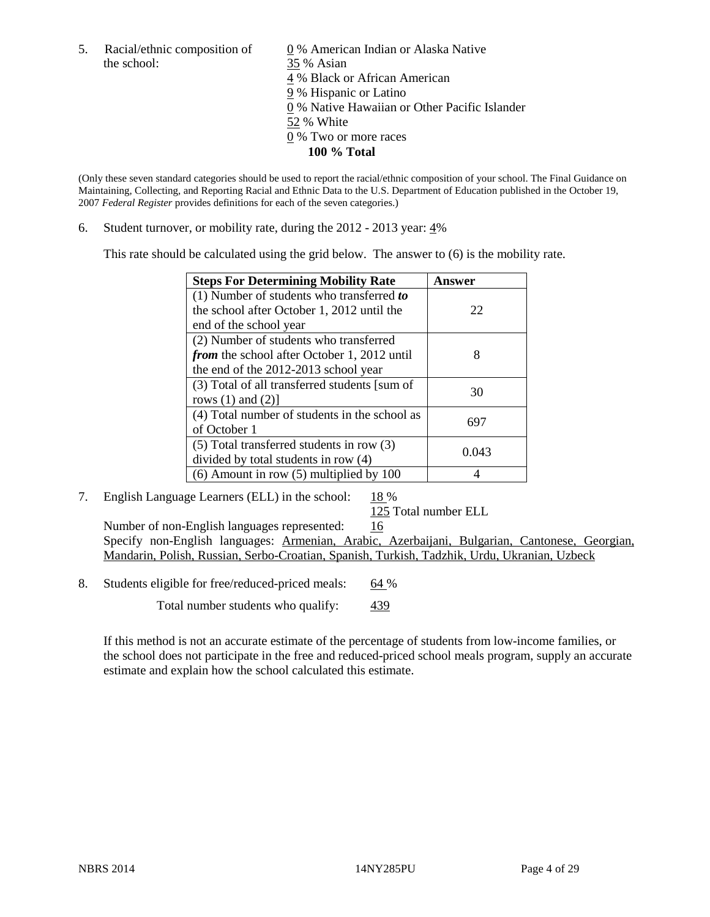the school: 35 % Asian

5. Racial/ethnic composition of  $\qquad \qquad \underline{0}$  % American Indian or Alaska Native 4 % Black or African American 9 % Hispanic or Latino 0 % Native Hawaiian or Other Pacific Islander 52 % White 0 % Two or more races **100 % Total**

(Only these seven standard categories should be used to report the racial/ethnic composition of your school. The Final Guidance on Maintaining, Collecting, and Reporting Racial and Ethnic Data to the U.S. Department of Education published in the October 19, 2007 *Federal Register* provides definitions for each of the seven categories.)

6. Student turnover, or mobility rate, during the 2012 - 2013 year: 4%

This rate should be calculated using the grid below. The answer to (6) is the mobility rate.

| <b>Steps For Determining Mobility Rate</b>         | Answer |
|----------------------------------------------------|--------|
| (1) Number of students who transferred to          |        |
| the school after October 1, 2012 until the         | 22     |
| end of the school year                             |        |
| (2) Number of students who transferred             |        |
| <i>from</i> the school after October 1, 2012 until | 8      |
| the end of the 2012-2013 school year               |        |
| (3) Total of all transferred students [sum of      | 30     |
| rows $(1)$ and $(2)$ ]                             |        |
| (4) Total number of students in the school as      | 697    |
| of October 1                                       |        |
| (5) Total transferred students in row (3)          | 0.043  |
| divided by total students in row (4)               |        |
| $(6)$ Amount in row $(5)$ multiplied by 100        |        |

### 7. English Language Learners (ELL) in the school:  $18\%$

125 Total number ELL

Number of non-English languages represented: 16 Specify non-English languages: Armenian, Arabic, Azerbaijani, Bulgarian, Cantonese, Georgian, Mandarin, Polish, Russian, Serbo-Croatian, Spanish, Turkish, Tadzhik, Urdu, Ukranian, Uzbeck

8. Students eligible for free/reduced-priced meals: 64 %

Total number students who qualify:  $\frac{439}{ }$ 

If this method is not an accurate estimate of the percentage of students from low-income families, or the school does not participate in the free and reduced-priced school meals program, supply an accurate estimate and explain how the school calculated this estimate.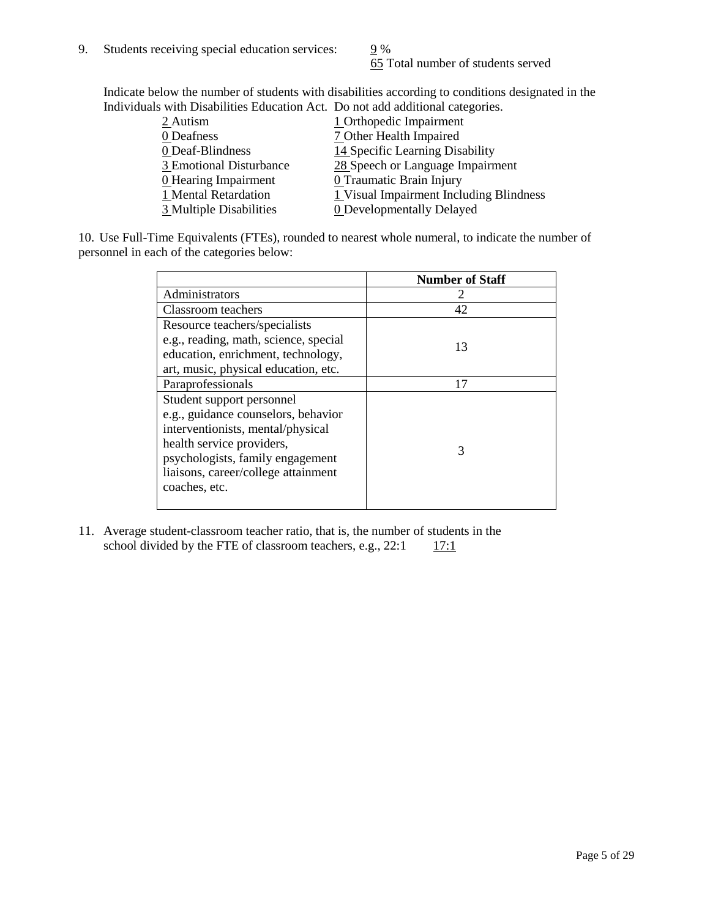65 Total number of students served

Indicate below the number of students with disabilities according to conditions designated in the Individuals with Disabilities Education Act. Do not add additional categories.

| 2 Autism                | 1 Orthopedic Impairment                 |
|-------------------------|-----------------------------------------|
| 0 Deafness              | 7 Other Health Impaired                 |
| 0 Deaf-Blindness        | 14 Specific Learning Disability         |
| 3 Emotional Disturbance | 28 Speech or Language Impairment        |
| 0 Hearing Impairment    | 0 Traumatic Brain Injury                |
| 1 Mental Retardation    | 1 Visual Impairment Including Blindness |
| 3 Multiple Disabilities | <b>0</b> Developmentally Delayed        |
|                         |                                         |

10. Use Full-Time Equivalents (FTEs), rounded to nearest whole numeral, to indicate the number of personnel in each of the categories below:

|                                       | <b>Number of Staff</b> |
|---------------------------------------|------------------------|
| Administrators                        |                        |
| Classroom teachers                    | 42                     |
| Resource teachers/specialists         |                        |
| e.g., reading, math, science, special | 13                     |
| education, enrichment, technology,    |                        |
| art, music, physical education, etc.  |                        |
| Paraprofessionals                     | 17                     |
| Student support personnel             |                        |
| e.g., guidance counselors, behavior   |                        |
| interventionists, mental/physical     |                        |
| health service providers,             | 3                      |
| psychologists, family engagement      |                        |
| liaisons, career/college attainment   |                        |
| coaches, etc.                         |                        |
|                                       |                        |

11. Average student-classroom teacher ratio, that is, the number of students in the school divided by the FTE of classroom teachers, e.g.,  $22:1 \quad 17:1$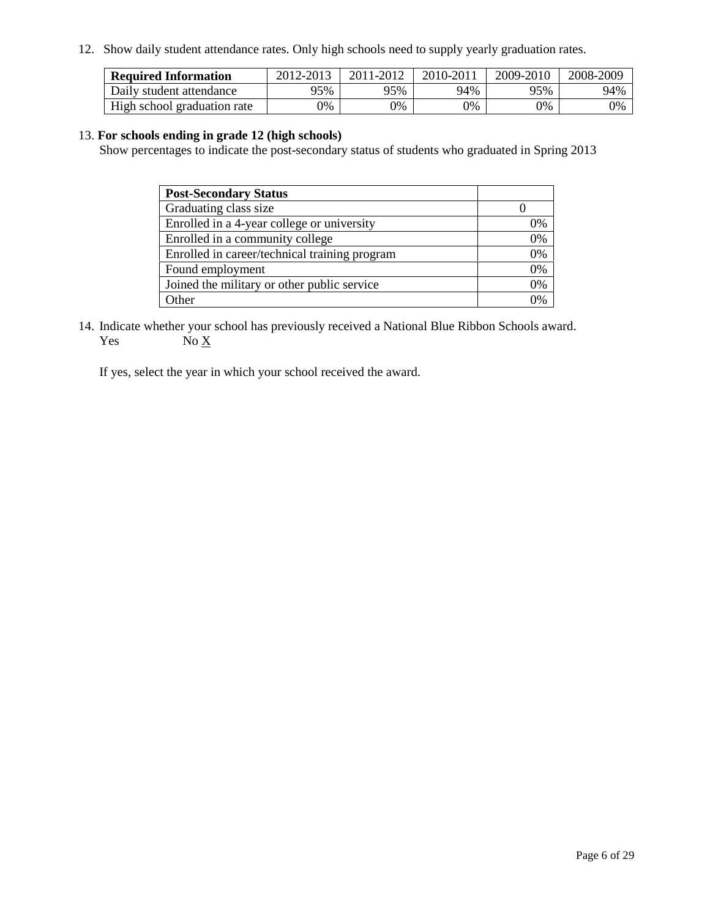12. Show daily student attendance rates. Only high schools need to supply yearly graduation rates.

| <b>Required Information</b> | 2012-2013 | 2011-2012 | 2010-2011 | 2009-2010 | 2008-2009 |
|-----------------------------|-----------|-----------|-----------|-----------|-----------|
| Daily student attendance    | 95%       | 95%       | 94%       | 95%       | 94%       |
| High school graduation rate | 0%        | 9%        | 0%        | 0%        | 0%        |

### 13. **For schools ending in grade 12 (high schools)**

Show percentages to indicate the post-secondary status of students who graduated in Spring 2013

| <b>Post-Secondary Status</b>                  |          |
|-----------------------------------------------|----------|
| Graduating class size                         |          |
| Enrolled in a 4-year college or university    | 0%       |
| Enrolled in a community college               | 0%       |
| Enrolled in career/technical training program | 0%       |
| Found employment                              | 0%       |
| Joined the military or other public service   | 0%       |
| . Other                                       | $\gamma$ |

14. Indicate whether your school has previously received a National Blue Ribbon Schools award. Yes  $No X$ 

If yes, select the year in which your school received the award.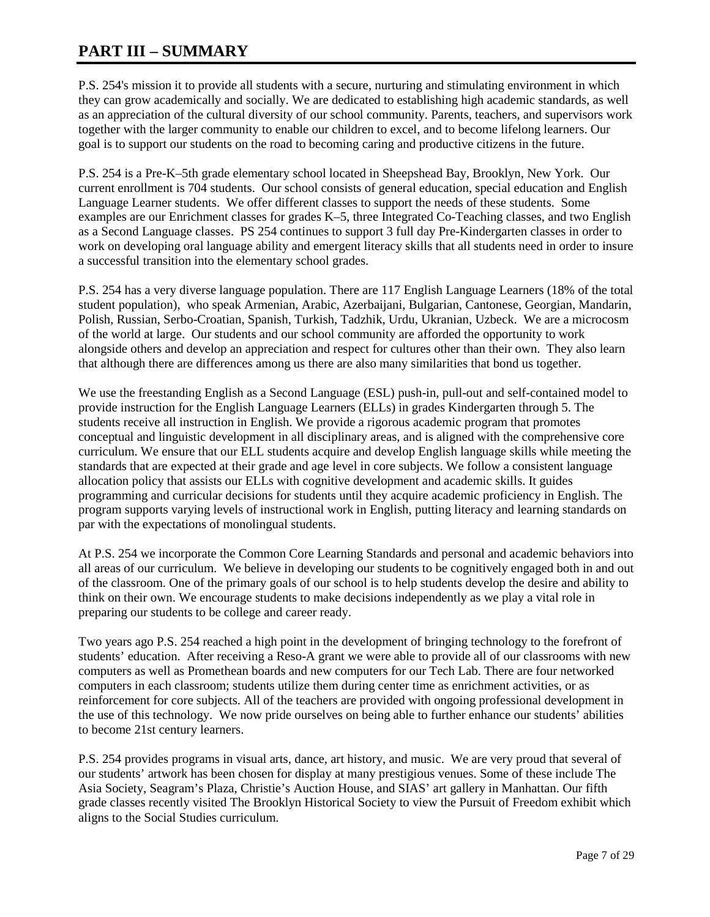# **PART III – SUMMARY**

P.S. 254's mission it to provide all students with a secure, nurturing and stimulating environment in which they can grow academically and socially. We are dedicated to establishing high academic standards, as well as an appreciation of the cultural diversity of our school community. Parents, teachers, and supervisors work together with the larger community to enable our children to excel, and to become lifelong learners. Our goal is to support our students on the road to becoming caring and productive citizens in the future.

P.S. 254 is a Pre-K–5th grade elementary school located in Sheepshead Bay, Brooklyn, New York. Our current enrollment is 704 students. Our school consists of general education, special education and English Language Learner students. We offer different classes to support the needs of these students. Some examples are our Enrichment classes for grades K–5, three Integrated Co-Teaching classes, and two English as a Second Language classes. PS 254 continues to support 3 full day Pre-Kindergarten classes in order to work on developing oral language ability and emergent literacy skills that all students need in order to insure a successful transition into the elementary school grades.

P.S. 254 has a very diverse language population. There are 117 English Language Learners (18% of the total student population), who speak Armenian, Arabic, Azerbaijani, Bulgarian, Cantonese, Georgian, Mandarin, Polish, Russian, Serbo-Croatian, Spanish, Turkish, Tadzhik, Urdu, Ukranian, Uzbeck. We are a microcosm of the world at large. Our students and our school community are afforded the opportunity to work alongside others and develop an appreciation and respect for cultures other than their own. They also learn that although there are differences among us there are also many similarities that bond us together.

We use the freestanding English as a Second Language (ESL) push-in, pull-out and self-contained model to provide instruction for the English Language Learners (ELLs) in grades Kindergarten through 5. The students receive all instruction in English. We provide a rigorous academic program that promotes conceptual and linguistic development in all disciplinary areas, and is aligned with the comprehensive core curriculum. We ensure that our ELL students acquire and develop English language skills while meeting the standards that are expected at their grade and age level in core subjects. We follow a consistent language allocation policy that assists our ELLs with cognitive development and academic skills. It guides programming and curricular decisions for students until they acquire academic proficiency in English. The program supports varying levels of instructional work in English, putting literacy and learning standards on par with the expectations of monolingual students.

At P.S. 254 we incorporate the Common Core Learning Standards and personal and academic behaviors into all areas of our curriculum. We believe in developing our students to be cognitively engaged both in and out of the classroom. One of the primary goals of our school is to help students develop the desire and ability to think on their own. We encourage students to make decisions independently as we play a vital role in preparing our students to be college and career ready.

Two years ago P.S. 254 reached a high point in the development of bringing technology to the forefront of students' education. After receiving a Reso-A grant we were able to provide all of our classrooms with new computers as well as Promethean boards and new computers for our Tech Lab. There are four networked computers in each classroom; students utilize them during center time as enrichment activities, or as reinforcement for core subjects. All of the teachers are provided with ongoing professional development in the use of this technology. We now pride ourselves on being able to further enhance our students' abilities to become 21st century learners.

P.S. 254 provides programs in visual arts, dance, art history, and music. We are very proud that several of our students' artwork has been chosen for display at many prestigious venues. Some of these include The Asia Society, Seagram's Plaza, Christie's Auction House, and SIAS' art gallery in Manhattan. Our fifth grade classes recently visited The Brooklyn Historical Society to view the Pursuit of Freedom exhibit which aligns to the Social Studies curriculum.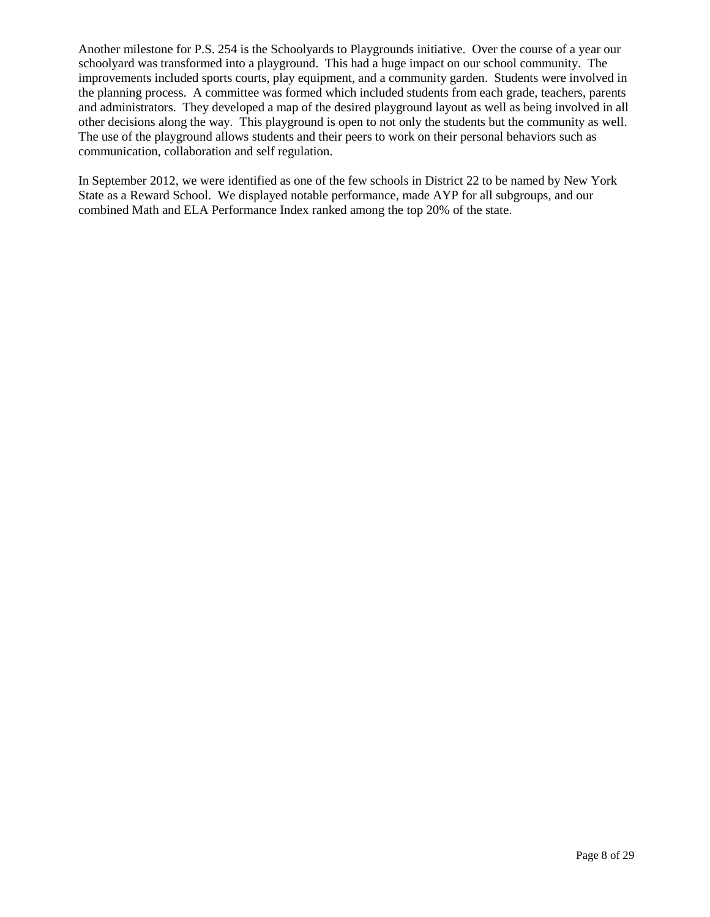Another milestone for P.S. 254 is the Schoolyards to Playgrounds initiative. Over the course of a year our schoolyard was transformed into a playground. This had a huge impact on our school community. The improvements included sports courts, play equipment, and a community garden. Students were involved in the planning process. A committee was formed which included students from each grade, teachers, parents and administrators. They developed a map of the desired playground layout as well as being involved in all other decisions along the way. This playground is open to not only the students but the community as well. The use of the playground allows students and their peers to work on their personal behaviors such as communication, collaboration and self regulation.

In September 2012, we were identified as one of the few schools in District 22 to be named by New York State as a Reward School. We displayed notable performance, made AYP for all subgroups, and our combined Math and ELA Performance Index ranked among the top 20% of the state.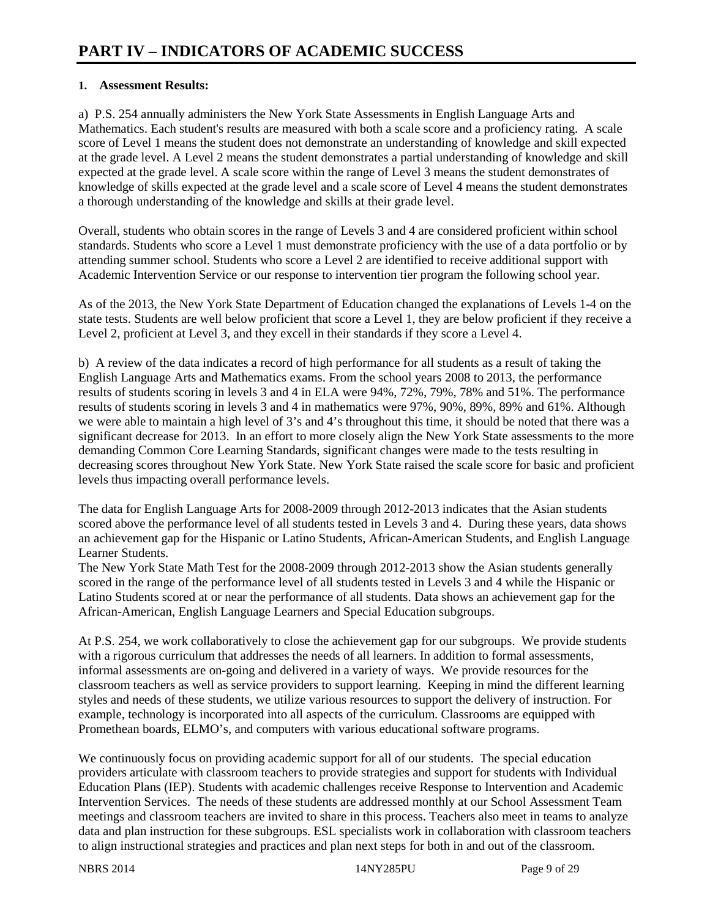## **1. Assessment Results:**

a) P.S. 254 annually administers the New York State Assessments in English Language Arts and Mathematics. Each student's results are measured with both a scale score and a proficiency rating. A scale score of Level 1 means the student does not demonstrate an understanding of knowledge and skill expected at the grade level. A Level 2 means the student demonstrates a partial understanding of knowledge and skill expected at the grade level. A scale score within the range of Level 3 means the student demonstrates of knowledge of skills expected at the grade level and a scale score of Level 4 means the student demonstrates a thorough understanding of the knowledge and skills at their grade level.

Overall, students who obtain scores in the range of Levels 3 and 4 are considered proficient within school standards. Students who score a Level 1 must demonstrate proficiency with the use of a data portfolio or by attending summer school. Students who score a Level 2 are identified to receive additional support with Academic Intervention Service or our response to intervention tier program the following school year.

As of the 2013, the New York State Department of Education changed the explanations of Levels 1-4 on the state tests. Students are well below proficient that score a Level 1, they are below proficient if they receive a Level 2, proficient at Level 3, and they excell in their standards if they score a Level 4.

b) A review of the data indicates a record of high performance for all students as a result of taking the English Language Arts and Mathematics exams. From the school years 2008 to 2013, the performance results of students scoring in levels 3 and 4 in ELA were 94%, 72%, 79%, 78% and 51%. The performance results of students scoring in levels 3 and 4 in mathematics were 97%, 90%, 89%, 89% and 61%. Although we were able to maintain a high level of 3's and 4's throughout this time, it should be noted that there was a significant decrease for 2013. In an effort to more closely align the New York State assessments to the more demanding Common Core Learning Standards, significant changes were made to the tests resulting in decreasing scores throughout New York State. New York State raised the scale score for basic and proficient levels thus impacting overall performance levels.

The data for English Language Arts for 2008-2009 through 2012-2013 indicates that the Asian students scored above the performance level of all students tested in Levels 3 and 4. During these years, data shows an achievement gap for the Hispanic or Latino Students, African-American Students, and English Language Learner Students.

The New York State Math Test for the 2008-2009 through 2012-2013 show the Asian students generally scored in the range of the performance level of all students tested in Levels 3 and 4 while the Hispanic or Latino Students scored at or near the performance of all students. Data shows an achievement gap for the African-American, English Language Learners and Special Education subgroups.

At P.S. 254, we work collaboratively to close the achievement gap for our subgroups. We provide students with a rigorous curriculum that addresses the needs of all learners. In addition to formal assessments, informal assessments are on-going and delivered in a variety of ways. We provide resources for the classroom teachers as well as service providers to support learning. Keeping in mind the different learning styles and needs of these students, we utilize various resources to support the delivery of instruction. For example, technology is incorporated into all aspects of the curriculum. Classrooms are equipped with Promethean boards, ELMO's, and computers with various educational software programs.

We continuously focus on providing academic support for all of our students. The special education providers articulate with classroom teachers to provide strategies and support for students with Individual Education Plans (IEP). Students with academic challenges receive Response to Intervention and Academic Intervention Services. The needs of these students are addressed monthly at our School Assessment Team meetings and classroom teachers are invited to share in this process. Teachers also meet in teams to analyze data and plan instruction for these subgroups. ESL specialists work in collaboration with classroom teachers to align instructional strategies and practices and plan next steps for both in and out of the classroom.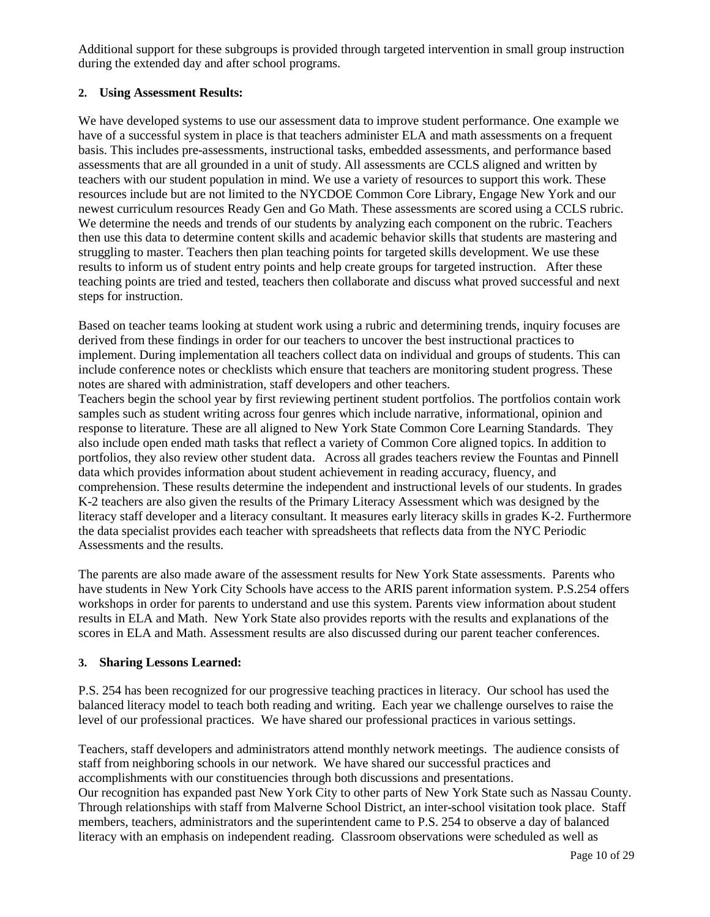Additional support for these subgroups is provided through targeted intervention in small group instruction during the extended day and after school programs.

## **2. Using Assessment Results:**

We have developed systems to use our assessment data to improve student performance. One example we have of a successful system in place is that teachers administer ELA and math assessments on a frequent basis. This includes pre-assessments, instructional tasks, embedded assessments, and performance based assessments that are all grounded in a unit of study. All assessments are CCLS aligned and written by teachers with our student population in mind. We use a variety of resources to support this work. These resources include but are not limited to the NYCDOE Common Core Library, Engage New York and our newest curriculum resources Ready Gen and Go Math. These assessments are scored using a CCLS rubric. We determine the needs and trends of our students by analyzing each component on the rubric. Teachers then use this data to determine content skills and academic behavior skills that students are mastering and struggling to master. Teachers then plan teaching points for targeted skills development. We use these results to inform us of student entry points and help create groups for targeted instruction. After these teaching points are tried and tested, teachers then collaborate and discuss what proved successful and next steps for instruction.

Based on teacher teams looking at student work using a rubric and determining trends, inquiry focuses are derived from these findings in order for our teachers to uncover the best instructional practices to implement. During implementation all teachers collect data on individual and groups of students. This can include conference notes or checklists which ensure that teachers are monitoring student progress. These notes are shared with administration, staff developers and other teachers.

Teachers begin the school year by first reviewing pertinent student portfolios. The portfolios contain work samples such as student writing across four genres which include narrative, informational, opinion and response to literature. These are all aligned to New York State Common Core Learning Standards. They also include open ended math tasks that reflect a variety of Common Core aligned topics. In addition to portfolios, they also review other student data. Across all grades teachers review the Fountas and Pinnell data which provides information about student achievement in reading accuracy, fluency, and comprehension. These results determine the independent and instructional levels of our students. In grades K-2 teachers are also given the results of the Primary Literacy Assessment which was designed by the literacy staff developer and a literacy consultant. It measures early literacy skills in grades K-2. Furthermore the data specialist provides each teacher with spreadsheets that reflects data from the NYC Periodic Assessments and the results.

The parents are also made aware of the assessment results for New York State assessments. Parents who have students in New York City Schools have access to the ARIS parent information system. P.S.254 offers workshops in order for parents to understand and use this system. Parents view information about student results in ELA and Math. New York State also provides reports with the results and explanations of the scores in ELA and Math. Assessment results are also discussed during our parent teacher conferences.

### **3. Sharing Lessons Learned:**

P.S. 254 has been recognized for our progressive teaching practices in literacy. Our school has used the balanced literacy model to teach both reading and writing. Each year we challenge ourselves to raise the level of our professional practices. We have shared our professional practices in various settings.

Teachers, staff developers and administrators attend monthly network meetings. The audience consists of staff from neighboring schools in our network. We have shared our successful practices and accomplishments with our constituencies through both discussions and presentations. Our recognition has expanded past New York City to other parts of New York State such as Nassau County. Through relationships with staff from Malverne School District, an inter-school visitation took place. Staff members, teachers, administrators and the superintendent came to P.S. 254 to observe a day of balanced literacy with an emphasis on independent reading. Classroom observations were scheduled as well as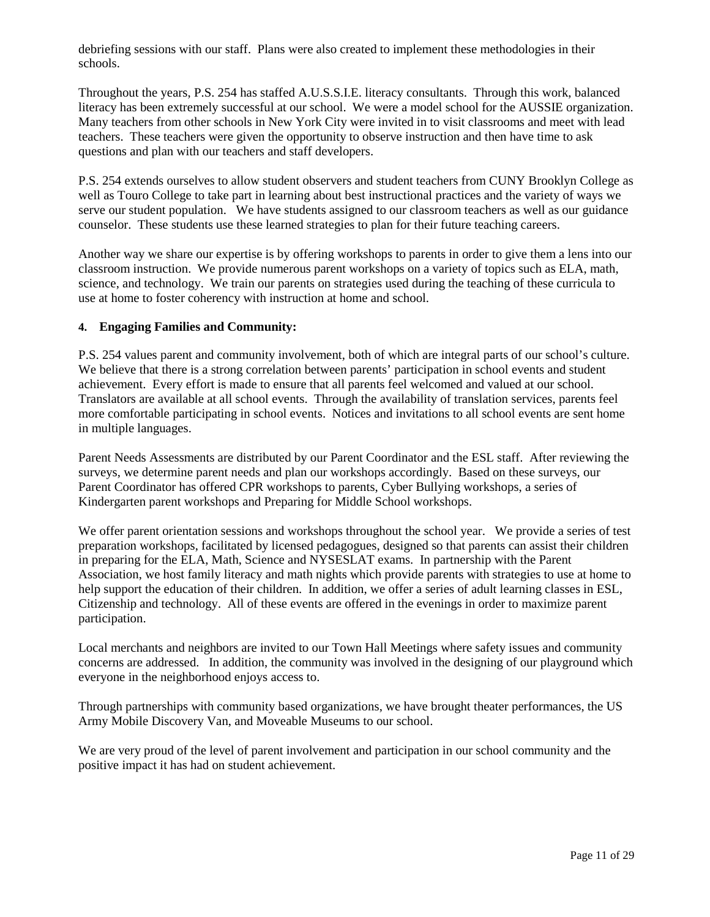debriefing sessions with our staff. Plans were also created to implement these methodologies in their schools.

Throughout the years, P.S. 254 has staffed A.U.S.S.I.E. literacy consultants. Through this work, balanced literacy has been extremely successful at our school. We were a model school for the AUSSIE organization. Many teachers from other schools in New York City were invited in to visit classrooms and meet with lead teachers. These teachers were given the opportunity to observe instruction and then have time to ask questions and plan with our teachers and staff developers.

P.S. 254 extends ourselves to allow student observers and student teachers from CUNY Brooklyn College as well as Touro College to take part in learning about best instructional practices and the variety of ways we serve our student population. We have students assigned to our classroom teachers as well as our guidance counselor. These students use these learned strategies to plan for their future teaching careers.

Another way we share our expertise is by offering workshops to parents in order to give them a lens into our classroom instruction. We provide numerous parent workshops on a variety of topics such as ELA, math, science, and technology. We train our parents on strategies used during the teaching of these curricula to use at home to foster coherency with instruction at home and school.

### **4. Engaging Families and Community:**

P.S. 254 values parent and community involvement, both of which are integral parts of our school's culture. We believe that there is a strong correlation between parents' participation in school events and student achievement. Every effort is made to ensure that all parents feel welcomed and valued at our school. Translators are available at all school events. Through the availability of translation services, parents feel more comfortable participating in school events. Notices and invitations to all school events are sent home in multiple languages.

Parent Needs Assessments are distributed by our Parent Coordinator and the ESL staff. After reviewing the surveys, we determine parent needs and plan our workshops accordingly. Based on these surveys, our Parent Coordinator has offered CPR workshops to parents, Cyber Bullying workshops, a series of Kindergarten parent workshops and Preparing for Middle School workshops.

We offer parent orientation sessions and workshops throughout the school year. We provide a series of test preparation workshops, facilitated by licensed pedagogues, designed so that parents can assist their children in preparing for the ELA, Math, Science and NYSESLAT exams. In partnership with the Parent Association, we host family literacy and math nights which provide parents with strategies to use at home to help support the education of their children. In addition, we offer a series of adult learning classes in ESL, Citizenship and technology. All of these events are offered in the evenings in order to maximize parent participation.

Local merchants and neighbors are invited to our Town Hall Meetings where safety issues and community concerns are addressed. In addition, the community was involved in the designing of our playground which everyone in the neighborhood enjoys access to.

Through partnerships with community based organizations, we have brought theater performances, the US Army Mobile Discovery Van, and Moveable Museums to our school.

We are very proud of the level of parent involvement and participation in our school community and the positive impact it has had on student achievement.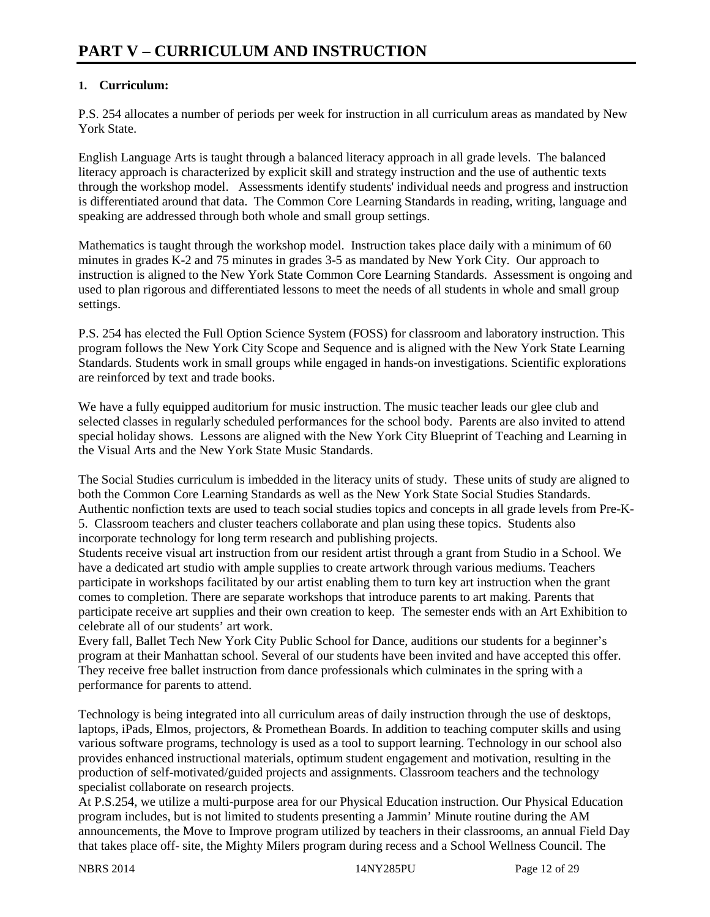# **1. Curriculum:**

P.S. 254 allocates a number of periods per week for instruction in all curriculum areas as mandated by New York State.

English Language Arts is taught through a balanced literacy approach in all grade levels. The balanced literacy approach is characterized by explicit skill and strategy instruction and the use of authentic texts through the workshop model. Assessments identify students' individual needs and progress and instruction is differentiated around that data. The Common Core Learning Standards in reading, writing, language and speaking are addressed through both whole and small group settings.

Mathematics is taught through the workshop model. Instruction takes place daily with a minimum of 60 minutes in grades K-2 and 75 minutes in grades 3-5 as mandated by New York City. Our approach to instruction is aligned to the New York State Common Core Learning Standards. Assessment is ongoing and used to plan rigorous and differentiated lessons to meet the needs of all students in whole and small group settings.

P.S. 254 has elected the Full Option Science System (FOSS) for classroom and laboratory instruction. This program follows the New York City Scope and Sequence and is aligned with the New York State Learning Standards. Students work in small groups while engaged in hands-on investigations. Scientific explorations are reinforced by text and trade books.

We have a fully equipped auditorium for music instruction. The music teacher leads our glee club and selected classes in regularly scheduled performances for the school body. Parents are also invited to attend special holiday shows. Lessons are aligned with the New York City Blueprint of Teaching and Learning in the Visual Arts and the New York State Music Standards.

The Social Studies curriculum is imbedded in the literacy units of study. These units of study are aligned to both the Common Core Learning Standards as well as the New York State Social Studies Standards. Authentic nonfiction texts are used to teach social studies topics and concepts in all grade levels from Pre-K-5. Classroom teachers and cluster teachers collaborate and plan using these topics. Students also incorporate technology for long term research and publishing projects.

Students receive visual art instruction from our resident artist through a grant from Studio in a School. We have a dedicated art studio with ample supplies to create artwork through various mediums. Teachers participate in workshops facilitated by our artist enabling them to turn key art instruction when the grant comes to completion. There are separate workshops that introduce parents to art making. Parents that participate receive art supplies and their own creation to keep. The semester ends with an Art Exhibition to celebrate all of our students' art work.

Every fall, Ballet Tech New York City Public School for Dance, auditions our students for a beginner's program at their Manhattan school. Several of our students have been invited and have accepted this offer. They receive free ballet instruction from dance professionals which culminates in the spring with a performance for parents to attend.

Technology is being integrated into all curriculum areas of daily instruction through the use of desktops, laptops, iPads, Elmos, projectors, & Promethean Boards. In addition to teaching computer skills and using various software programs, technology is used as a tool to support learning. Technology in our school also provides enhanced instructional materials, optimum student engagement and motivation, resulting in the production of self-motivated/guided projects and assignments. Classroom teachers and the technology specialist collaborate on research projects.

At P.S.254, we utilize a multi-purpose area for our Physical Education instruction. Our Physical Education program includes, but is not limited to students presenting a Jammin' Minute routine during the AM announcements, the Move to Improve program utilized by teachers in their classrooms, an annual Field Day that takes place off- site, the Mighty Milers program during recess and a School Wellness Council. The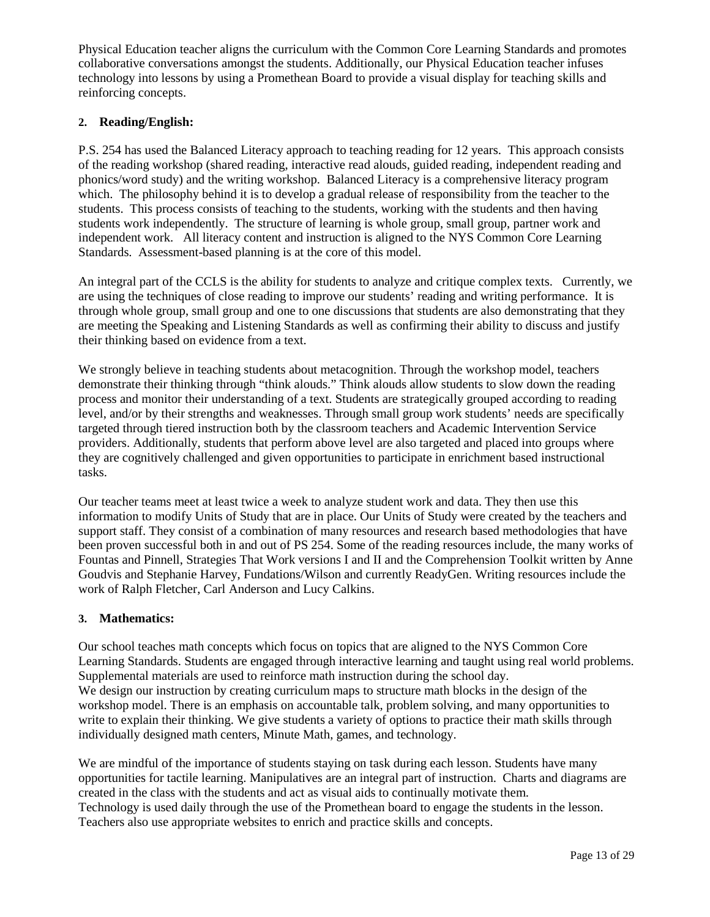Physical Education teacher aligns the curriculum with the Common Core Learning Standards and promotes collaborative conversations amongst the students. Additionally, our Physical Education teacher infuses technology into lessons by using a Promethean Board to provide a visual display for teaching skills and reinforcing concepts.

## **2. Reading/English:**

P.S. 254 has used the Balanced Literacy approach to teaching reading for 12 years. This approach consists of the reading workshop (shared reading, interactive read alouds, guided reading, independent reading and phonics/word study) and the writing workshop. Balanced Literacy is a comprehensive literacy program which. The philosophy behind it is to develop a gradual release of responsibility from the teacher to the students. This process consists of teaching to the students, working with the students and then having students work independently. The structure of learning is whole group, small group, partner work and independent work. All literacy content and instruction is aligned to the NYS Common Core Learning Standards. Assessment-based planning is at the core of this model.

An integral part of the CCLS is the ability for students to analyze and critique complex texts. Currently, we are using the techniques of close reading to improve our students' reading and writing performance. It is through whole group, small group and one to one discussions that students are also demonstrating that they are meeting the Speaking and Listening Standards as well as confirming their ability to discuss and justify their thinking based on evidence from a text.

We strongly believe in teaching students about metacognition. Through the workshop model, teachers demonstrate their thinking through "think alouds." Think alouds allow students to slow down the reading process and monitor their understanding of a text. Students are strategically grouped according to reading level, and/or by their strengths and weaknesses. Through small group work students' needs are specifically targeted through tiered instruction both by the classroom teachers and Academic Intervention Service providers. Additionally, students that perform above level are also targeted and placed into groups where they are cognitively challenged and given opportunities to participate in enrichment based instructional tasks.

Our teacher teams meet at least twice a week to analyze student work and data. They then use this information to modify Units of Study that are in place. Our Units of Study were created by the teachers and support staff. They consist of a combination of many resources and research based methodologies that have been proven successful both in and out of PS 254. Some of the reading resources include, the many works of Fountas and Pinnell, Strategies That Work versions I and II and the Comprehension Toolkit written by Anne Goudvis and Stephanie Harvey, Fundations/Wilson and currently ReadyGen. Writing resources include the work of Ralph Fletcher, Carl Anderson and Lucy Calkins.

### **3. Mathematics:**

Our school teaches math concepts which focus on topics that are aligned to the NYS Common Core Learning Standards. Students are engaged through interactive learning and taught using real world problems. Supplemental materials are used to reinforce math instruction during the school day. We design our instruction by creating curriculum maps to structure math blocks in the design of the workshop model. There is an emphasis on accountable talk, problem solving, and many opportunities to write to explain their thinking. We give students a variety of options to practice their math skills through individually designed math centers, Minute Math, games, and technology.

We are mindful of the importance of students staying on task during each lesson. Students have many opportunities for tactile learning. Manipulatives are an integral part of instruction. Charts and diagrams are created in the class with the students and act as visual aids to continually motivate them. Technology is used daily through the use of the Promethean board to engage the students in the lesson. Teachers also use appropriate websites to enrich and practice skills and concepts.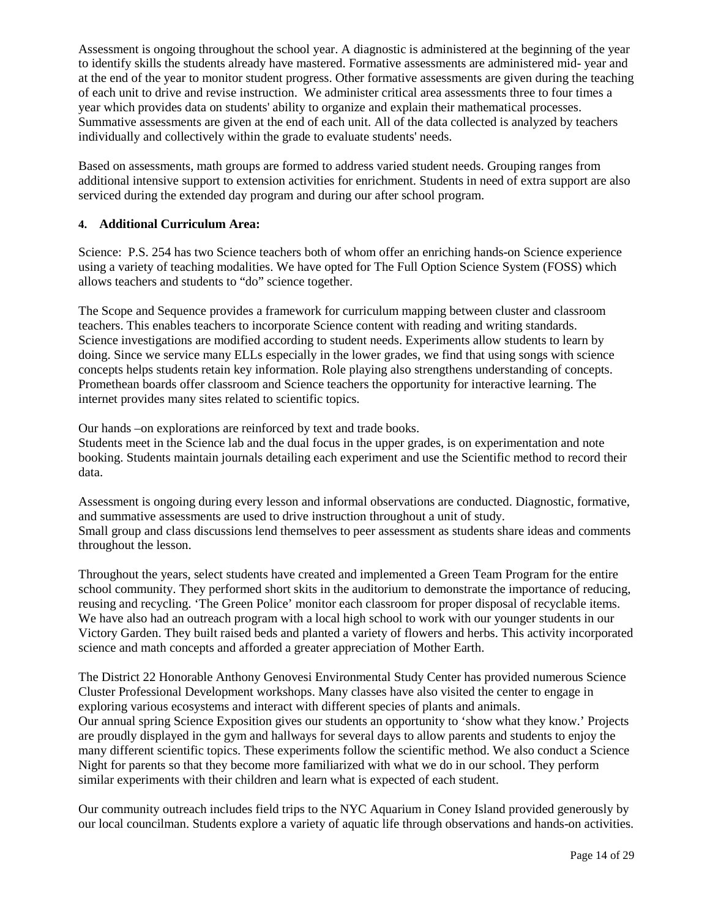Assessment is ongoing throughout the school year. A diagnostic is administered at the beginning of the year to identify skills the students already have mastered. Formative assessments are administered mid- year and at the end of the year to monitor student progress. Other formative assessments are given during the teaching of each unit to drive and revise instruction. We administer critical area assessments three to four times a year which provides data on students' ability to organize and explain their mathematical processes. Summative assessments are given at the end of each unit. All of the data collected is analyzed by teachers individually and collectively within the grade to evaluate students' needs.

Based on assessments, math groups are formed to address varied student needs. Grouping ranges from additional intensive support to extension activities for enrichment. Students in need of extra support are also serviced during the extended day program and during our after school program.

### **4. Additional Curriculum Area:**

Science: P.S. 254 has two Science teachers both of whom offer an enriching hands-on Science experience using a variety of teaching modalities. We have opted for The Full Option Science System (FOSS) which allows teachers and students to "do" science together.

The Scope and Sequence provides a framework for curriculum mapping between cluster and classroom teachers. This enables teachers to incorporate Science content with reading and writing standards. Science investigations are modified according to student needs. Experiments allow students to learn by doing. Since we service many ELLs especially in the lower grades, we find that using songs with science concepts helps students retain key information. Role playing also strengthens understanding of concepts. Promethean boards offer classroom and Science teachers the opportunity for interactive learning. The internet provides many sites related to scientific topics.

Our hands –on explorations are reinforced by text and trade books.

Students meet in the Science lab and the dual focus in the upper grades, is on experimentation and note booking. Students maintain journals detailing each experiment and use the Scientific method to record their data.

Assessment is ongoing during every lesson and informal observations are conducted. Diagnostic, formative, and summative assessments are used to drive instruction throughout a unit of study. Small group and class discussions lend themselves to peer assessment as students share ideas and comments throughout the lesson.

Throughout the years, select students have created and implemented a Green Team Program for the entire school community. They performed short skits in the auditorium to demonstrate the importance of reducing, reusing and recycling. 'The Green Police' monitor each classroom for proper disposal of recyclable items. We have also had an outreach program with a local high school to work with our younger students in our Victory Garden. They built raised beds and planted a variety of flowers and herbs. This activity incorporated science and math concepts and afforded a greater appreciation of Mother Earth.

The District 22 Honorable Anthony Genovesi Environmental Study Center has provided numerous Science Cluster Professional Development workshops. Many classes have also visited the center to engage in exploring various ecosystems and interact with different species of plants and animals. Our annual spring Science Exposition gives our students an opportunity to 'show what they know.' Projects are proudly displayed in the gym and hallways for several days to allow parents and students to enjoy the many different scientific topics. These experiments follow the scientific method. We also conduct a Science Night for parents so that they become more familiarized with what we do in our school. They perform similar experiments with their children and learn what is expected of each student.

Our community outreach includes field trips to the NYC Aquarium in Coney Island provided generously by our local councilman. Students explore a variety of aquatic life through observations and hands-on activities.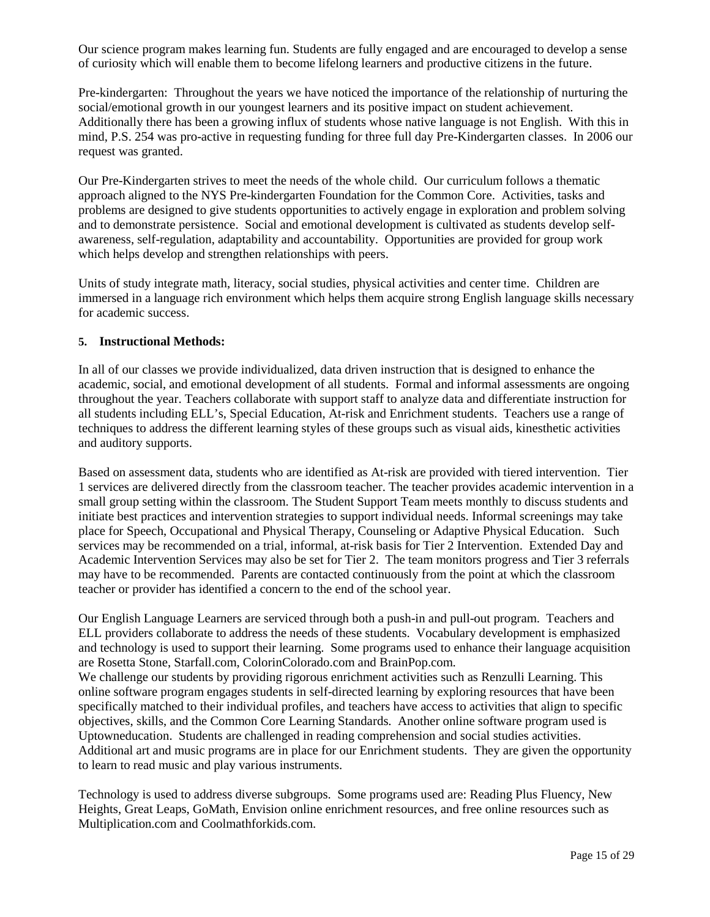Our science program makes learning fun. Students are fully engaged and are encouraged to develop a sense of curiosity which will enable them to become lifelong learners and productive citizens in the future.

Pre-kindergarten: Throughout the years we have noticed the importance of the relationship of nurturing the social/emotional growth in our youngest learners and its positive impact on student achievement. Additionally there has been a growing influx of students whose native language is not English. With this in mind, P.S. 254 was pro-active in requesting funding for three full day Pre-Kindergarten classes. In 2006 our request was granted.

Our Pre-Kindergarten strives to meet the needs of the whole child. Our curriculum follows a thematic approach aligned to the NYS Pre-kindergarten Foundation for the Common Core. Activities, tasks and problems are designed to give students opportunities to actively engage in exploration and problem solving and to demonstrate persistence. Social and emotional development is cultivated as students develop selfawareness, self-regulation, adaptability and accountability. Opportunities are provided for group work which helps develop and strengthen relationships with peers.

Units of study integrate math, literacy, social studies, physical activities and center time. Children are immersed in a language rich environment which helps them acquire strong English language skills necessary for academic success.

### **5. Instructional Methods:**

In all of our classes we provide individualized, data driven instruction that is designed to enhance the academic, social, and emotional development of all students. Formal and informal assessments are ongoing throughout the year. Teachers collaborate with support staff to analyze data and differentiate instruction for all students including ELL's, Special Education, At-risk and Enrichment students. Teachers use a range of techniques to address the different learning styles of these groups such as visual aids, kinesthetic activities and auditory supports.

Based on assessment data, students who are identified as At-risk are provided with tiered intervention. Tier 1 services are delivered directly from the classroom teacher. The teacher provides academic intervention in a small group setting within the classroom. The Student Support Team meets monthly to discuss students and initiate best practices and intervention strategies to support individual needs. Informal screenings may take place for Speech, Occupational and Physical Therapy, Counseling or Adaptive Physical Education. Such services may be recommended on a trial, informal, at-risk basis for Tier 2 Intervention. Extended Day and Academic Intervention Services may also be set for Tier 2. The team monitors progress and Tier 3 referrals may have to be recommended. Parents are contacted continuously from the point at which the classroom teacher or provider has identified a concern to the end of the school year.

Our English Language Learners are serviced through both a push-in and pull-out program. Teachers and ELL providers collaborate to address the needs of these students. Vocabulary development is emphasized and technology is used to support their learning. Some programs used to enhance their language acquisition are Rosetta Stone, Starfall.com, ColorinColorado.com and BrainPop.com.

We challenge our students by providing rigorous enrichment activities such as Renzulli Learning. This online software program engages students in self-directed learning by exploring resources that have been specifically matched to their individual profiles, and teachers have access to activities that align to specific objectives, skills, and the Common Core Learning Standards. Another online software program used is Uptowneducation. Students are challenged in reading comprehension and social studies activities. Additional art and music programs are in place for our Enrichment students. They are given the opportunity to learn to read music and play various instruments.

Technology is used to address diverse subgroups. Some programs used are: Reading Plus Fluency, New Heights, Great Leaps, GoMath, Envision online enrichment resources, and free online resources such as Multiplication.com and Coolmathforkids.com.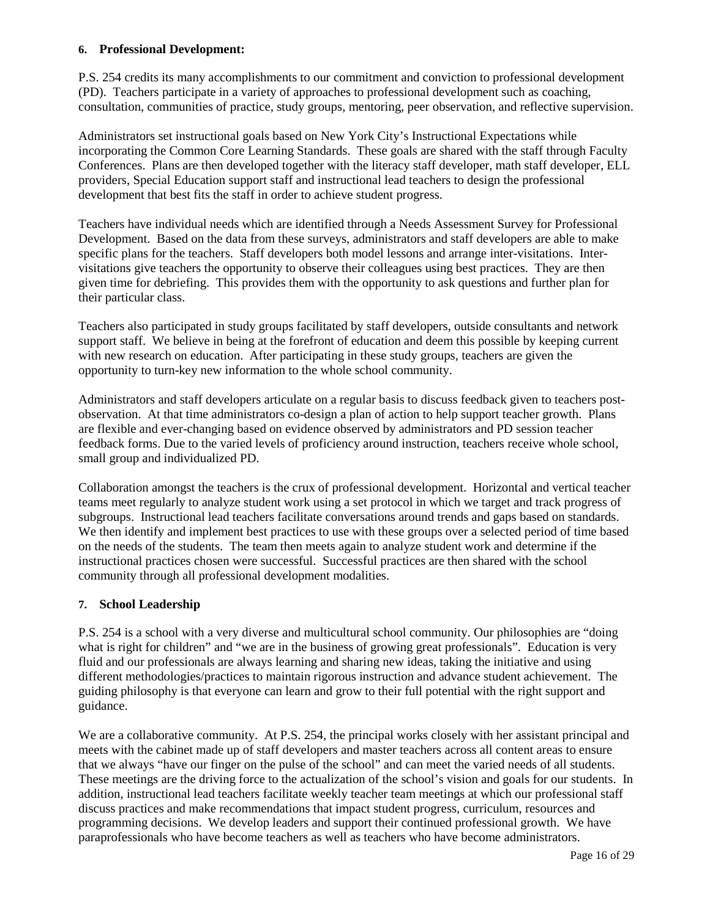#### **6. Professional Development:**

P.S. 254 credits its many accomplishments to our commitment and conviction to professional development (PD). Teachers participate in a variety of approaches to professional development such as coaching, consultation, communities of practice, study groups, mentoring, peer observation, and reflective supervision.

Administrators set instructional goals based on New York City's Instructional Expectations while incorporating the Common Core Learning Standards. These goals are shared with the staff through Faculty Conferences. Plans are then developed together with the literacy staff developer, math staff developer, ELL providers, Special Education support staff and instructional lead teachers to design the professional development that best fits the staff in order to achieve student progress.

Teachers have individual needs which are identified through a Needs Assessment Survey for Professional Development. Based on the data from these surveys, administrators and staff developers are able to make specific plans for the teachers. Staff developers both model lessons and arrange inter-visitations. Intervisitations give teachers the opportunity to observe their colleagues using best practices. They are then given time for debriefing. This provides them with the opportunity to ask questions and further plan for their particular class.

Teachers also participated in study groups facilitated by staff developers, outside consultants and network support staff. We believe in being at the forefront of education and deem this possible by keeping current with new research on education. After participating in these study groups, teachers are given the opportunity to turn-key new information to the whole school community.

Administrators and staff developers articulate on a regular basis to discuss feedback given to teachers postobservation. At that time administrators co-design a plan of action to help support teacher growth. Plans are flexible and ever-changing based on evidence observed by administrators and PD session teacher feedback forms. Due to the varied levels of proficiency around instruction, teachers receive whole school, small group and individualized PD.

Collaboration amongst the teachers is the crux of professional development. Horizontal and vertical teacher teams meet regularly to analyze student work using a set protocol in which we target and track progress of subgroups. Instructional lead teachers facilitate conversations around trends and gaps based on standards. We then identify and implement best practices to use with these groups over a selected period of time based on the needs of the students. The team then meets again to analyze student work and determine if the instructional practices chosen were successful. Successful practices are then shared with the school community through all professional development modalities.

### **7. School Leadership**

P.S. 254 is a school with a very diverse and multicultural school community. Our philosophies are "doing what is right for children" and "we are in the business of growing great professionals". Education is very fluid and our professionals are always learning and sharing new ideas, taking the initiative and using different methodologies/practices to maintain rigorous instruction and advance student achievement. The guiding philosophy is that everyone can learn and grow to their full potential with the right support and guidance.

We are a collaborative community. At P.S. 254, the principal works closely with her assistant principal and meets with the cabinet made up of staff developers and master teachers across all content areas to ensure that we always "have our finger on the pulse of the school" and can meet the varied needs of all students. These meetings are the driving force to the actualization of the school's vision and goals for our students. In addition, instructional lead teachers facilitate weekly teacher team meetings at which our professional staff discuss practices and make recommendations that impact student progress, curriculum, resources and programming decisions. We develop leaders and support their continued professional growth. We have paraprofessionals who have become teachers as well as teachers who have become administrators.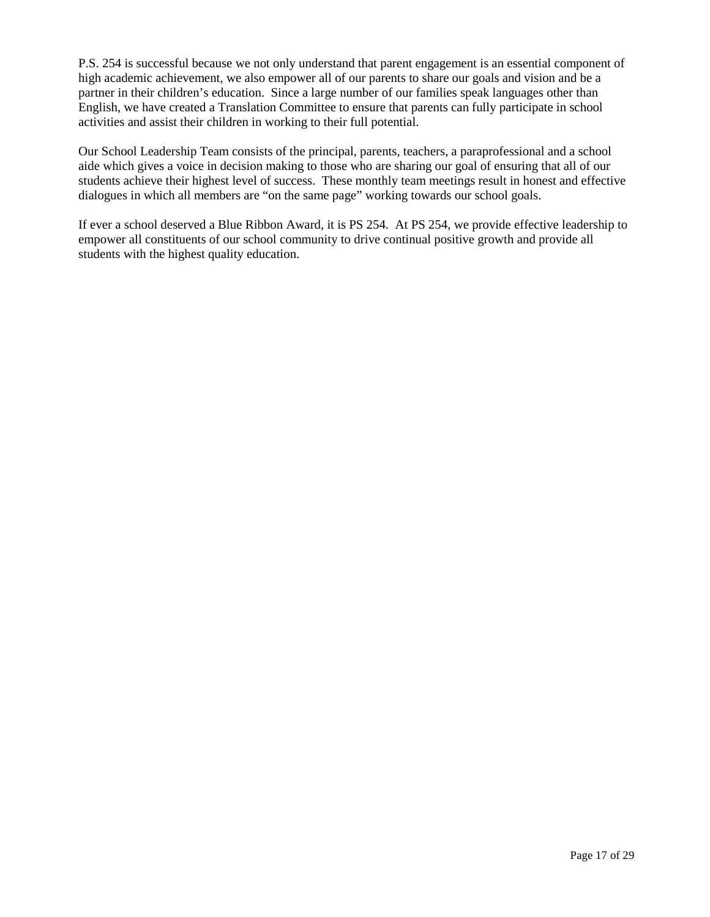P.S. 254 is successful because we not only understand that parent engagement is an essential component of high academic achievement, we also empower all of our parents to share our goals and vision and be a partner in their children's education. Since a large number of our families speak languages other than English, we have created a Translation Committee to ensure that parents can fully participate in school activities and assist their children in working to their full potential.

Our School Leadership Team consists of the principal, parents, teachers, a paraprofessional and a school aide which gives a voice in decision making to those who are sharing our goal of ensuring that all of our students achieve their highest level of success. These monthly team meetings result in honest and effective dialogues in which all members are "on the same page" working towards our school goals.

If ever a school deserved a Blue Ribbon Award, it is PS 254. At PS 254, we provide effective leadership to empower all constituents of our school community to drive continual positive growth and provide all students with the highest quality education.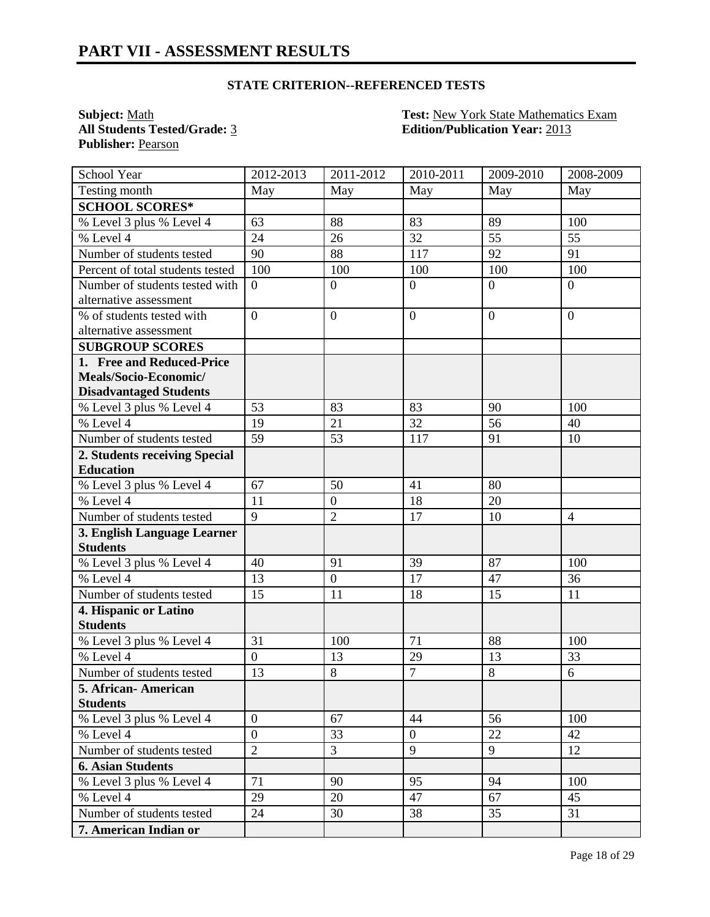**All Students Tested/Grade: 3 Publisher:** Pearson

**Subject:** <u>Math **Test:** New York State Mathematics Exam</u><br> **All Students Tested/Grade:** 3 **Edition/Publication Year:** 2013

| School Year                            | 2012-2013       | 2011-2012        | 2010-2011       | 2009-2010       | 2008-2009      |
|----------------------------------------|-----------------|------------------|-----------------|-----------------|----------------|
| Testing month                          | May             | May              | May             | May             | May            |
| <b>SCHOOL SCORES*</b>                  |                 |                  |                 |                 |                |
| % Level 3 plus % Level 4               | 63              | 88               | 83              | 89              | 100            |
| $%$ Level 4                            | 24              | 26               | $\overline{32}$ | 55              | 55             |
| Number of students tested              | 90              | 88               | 117             | 92              | 91             |
| Percent of total students tested       | 100             | 100              | 100             | 100             | 100            |
| Number of students tested with         | $\overline{0}$  | $\overline{0}$   | $\overline{0}$  | $\theta$        | $\overline{0}$ |
| alternative assessment                 |                 |                  |                 |                 |                |
| % of students tested with              | $\overline{0}$  | $\overline{0}$   | $\overline{0}$  | $\theta$        | $\overline{0}$ |
| alternative assessment                 |                 |                  |                 |                 |                |
| <b>SUBGROUP SCORES</b>                 |                 |                  |                 |                 |                |
| 1. Free and Reduced-Price              |                 |                  |                 |                 |                |
| Meals/Socio-Economic/                  |                 |                  |                 |                 |                |
| <b>Disadvantaged Students</b>          |                 |                  |                 |                 |                |
| $\overline{\%}$ Level 3 plus % Level 4 | 53              | 83               | 83              | 90              | 100            |
| % Level 4                              | 19              | 21               | 32              | $\overline{56}$ | 40             |
| Number of students tested              | $\overline{59}$ | 53               | 117             | 91              | 10             |
| 2. Students receiving Special          |                 |                  |                 |                 |                |
| <b>Education</b>                       |                 |                  |                 |                 |                |
| % Level 3 plus % Level 4               | 67              | 50               | 41              | 80              |                |
| % Level 4                              | 11              | $\boldsymbol{0}$ | 18              | 20              |                |
| Number of students tested              | 9               | $\overline{2}$   | 17              | 10              | $\overline{4}$ |
| 3. English Language Learner            |                 |                  |                 |                 |                |
| <b>Students</b>                        |                 |                  |                 |                 |                |
| % Level 3 plus % Level 4               | 40              | 91               | 39              | 87              | 100            |
| % Level 4                              | 13              | $\mathbf{0}$     | 17              | 47              | 36             |
| Number of students tested              | 15              | 11               | 18              | 15              | 11             |
| 4. Hispanic or Latino                  |                 |                  |                 |                 |                |
| <b>Students</b>                        |                 |                  |                 |                 |                |
| % Level 3 plus % Level 4               | 31              | 100              | 71              | 88              | 100            |
| % Level 4                              | $\overline{0}$  | 13               | 29              | 13              | 33             |
| Number of students tested              | 13              | 8                | $\overline{7}$  | $\,8\,$         | 6              |
| 5. African-American                    |                 |                  |                 |                 |                |
| <b>Students</b>                        |                 |                  |                 |                 |                |
| % Level 3 plus % Level 4               | $\overline{0}$  | 67               | 44              | 56              | 100            |
| % Level 4                              | $\overline{0}$  | 33               | $\overline{0}$  | 22              | 42             |
| Number of students tested              | $\overline{2}$  | $\overline{3}$   | 9               | 9               | 12             |
| <b>6. Asian Students</b>               |                 |                  |                 |                 |                |
| % Level 3 plus % Level 4               | 71              | 90               | 95              | 94              | 100            |
| % Level 4                              | 29              | 20               | 47              | 67              | 45             |
| Number of students tested              | 24              | 30               | 38              | 35              | 31             |
| 7. American Indian or                  |                 |                  |                 |                 |                |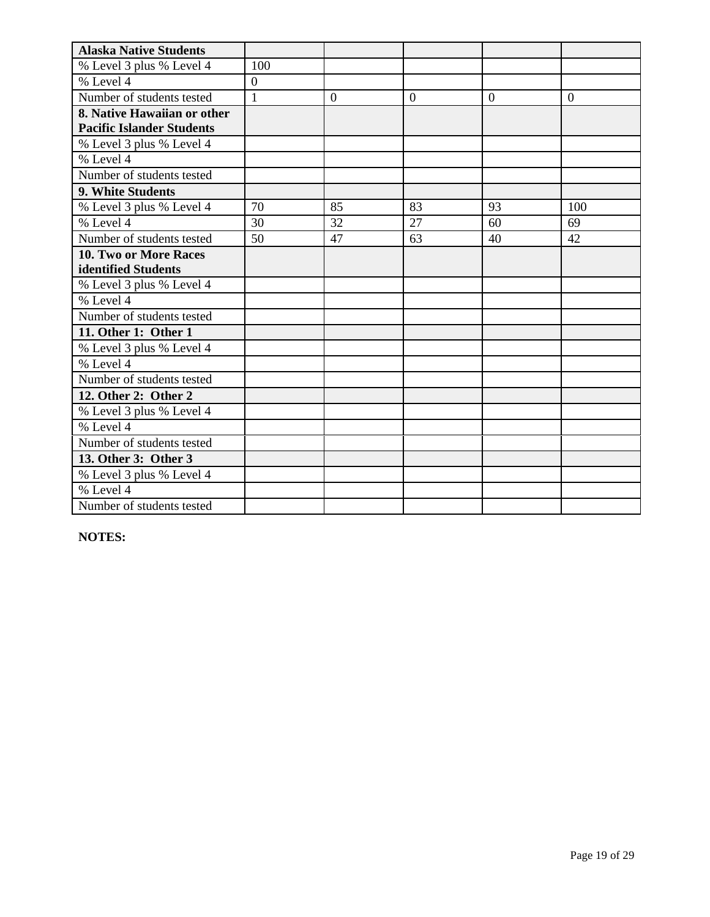| <b>Alaska Native Students</b>    |                  |                |              |          |                |
|----------------------------------|------------------|----------------|--------------|----------|----------------|
| % Level 3 plus % Level 4         | 100              |                |              |          |                |
| % Level 4                        | $\boldsymbol{0}$ |                |              |          |                |
| Number of students tested        | $\mathbf{1}$     | $\overline{0}$ | $\mathbf{0}$ | $\theta$ | $\overline{0}$ |
| 8. Native Hawaiian or other      |                  |                |              |          |                |
| <b>Pacific Islander Students</b> |                  |                |              |          |                |
| % Level 3 plus % Level 4         |                  |                |              |          |                |
| % Level 4                        |                  |                |              |          |                |
| Number of students tested        |                  |                |              |          |                |
| 9. White Students                |                  |                |              |          |                |
| % Level 3 plus % Level 4         | 70               | 85             | 83           | 93       | 100            |
| % Level 4                        | 30               | 32             | 27           | 60       | 69             |
| Number of students tested        | 50               | 47             | 63           | 40       | 42             |
| <b>10. Two or More Races</b>     |                  |                |              |          |                |
| identified Students              |                  |                |              |          |                |
| % Level 3 plus % Level 4         |                  |                |              |          |                |
| % Level 4                        |                  |                |              |          |                |
| Number of students tested        |                  |                |              |          |                |
| 11. Other 1: Other 1             |                  |                |              |          |                |
| % Level 3 plus % Level 4         |                  |                |              |          |                |
| % Level 4                        |                  |                |              |          |                |
| Number of students tested        |                  |                |              |          |                |
| 12. Other 2: Other 2             |                  |                |              |          |                |
| % Level 3 plus % Level 4         |                  |                |              |          |                |
| % Level 4                        |                  |                |              |          |                |
| Number of students tested        |                  |                |              |          |                |
| 13. Other 3: Other 3             |                  |                |              |          |                |
| % Level 3 plus % Level 4         |                  |                |              |          |                |
| % Level 4                        |                  |                |              |          |                |
| Number of students tested        |                  |                |              |          |                |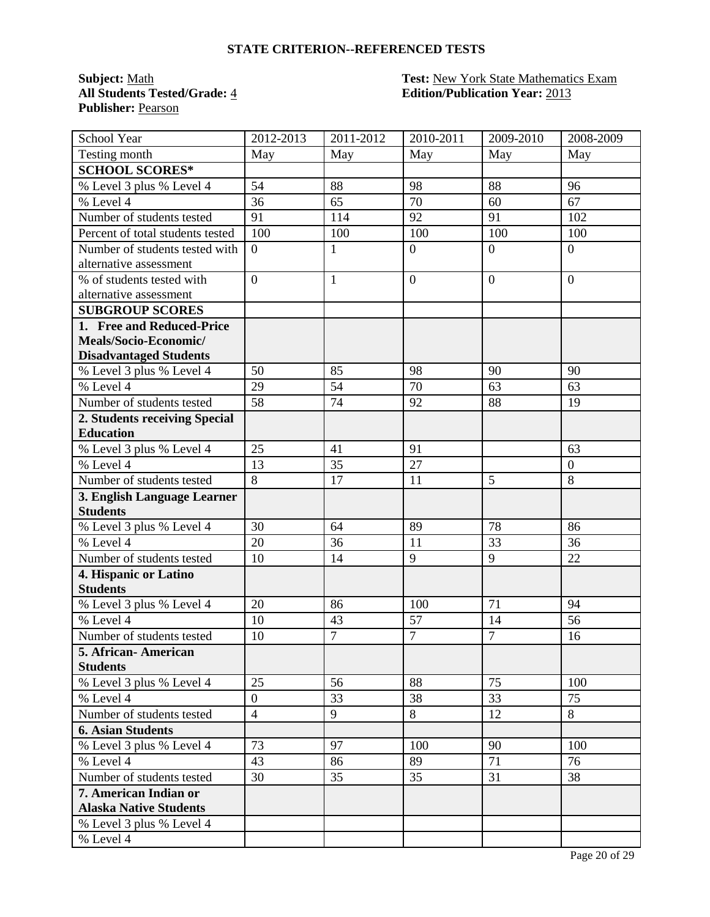**Publisher:** Pearson

# **Subject:** <u>Math **Test:** New York State Mathematics Exam</u><br> **All Students Tested/Grade:** 4 **Test: Edition/Publication Year:** 2013 **All Students Tested/Grade:** 4 **Edition/Publication Year:** 2013

| School Year                                    | 2012-2013            | 2011-2012    | 2010-2011      | 2009-2010      | 2008-2009      |
|------------------------------------------------|----------------------|--------------|----------------|----------------|----------------|
| Testing month                                  | May                  | May          | May            | May            | May            |
| <b>SCHOOL SCORES*</b>                          |                      |              |                |                |                |
| % Level 3 plus % Level 4                       | 54                   | 88           | 98             | 88             | 96             |
| % Level 4                                      | 36                   | 65           | 70             | 60             | 67             |
| Number of students tested                      | 91                   | 114          | 92             | 91             | 102            |
| Percent of total students tested               | 100                  | 100          | 100            | 100            | 100            |
| Number of students tested with                 | $\overline{0}$       | $\mathbf{1}$ | $\mathbf{0}$   | $\theta$       | $\overline{0}$ |
| alternative assessment                         |                      |              |                |                |                |
| % of students tested with                      | $\overline{0}$       | $\mathbf{1}$ | $\overline{0}$ | $\overline{0}$ | $\overline{0}$ |
| alternative assessment                         |                      |              |                |                |                |
| <b>SUBGROUP SCORES</b>                         |                      |              |                |                |                |
| 1. Free and Reduced-Price                      |                      |              |                |                |                |
| Meals/Socio-Economic/                          |                      |              |                |                |                |
| <b>Disadvantaged Students</b>                  |                      |              |                |                |                |
| % Level 3 plus % Level 4                       | 50                   | 85           | 98             | 90             | 90             |
| % Level 4                                      | 29                   | 54           | 70             | 63             | 63             |
| Number of students tested                      | $\overline{58}$      | 74           | 92             | 88             | 19             |
| 2. Students receiving Special                  |                      |              |                |                |                |
| <b>Education</b>                               |                      |              |                |                |                |
| % Level 3 plus % Level 4                       | 25                   | 41           | 91             |                | 63             |
| % Level 4                                      | 13<br>$\overline{8}$ | 35           | 27             |                | $\overline{0}$ |
| Number of students tested                      |                      | 17           | 11             | 5              | 8              |
| 3. English Language Learner<br><b>Students</b> |                      |              |                |                |                |
|                                                | 30                   | 64           | 89             | 78             | 86             |
| % Level 3 plus % Level 4<br>% Level 4          | 20                   | 36           | 11             | 33             | 36             |
| Number of students tested                      | 10                   | 14           | 9              | 9              | 22             |
|                                                |                      |              |                |                |                |
| 4. Hispanic or Latino<br><b>Students</b>       |                      |              |                |                |                |
| % Level 3 plus % Level 4                       | 20                   | 86           | 100            | 71             | 94             |
| % Level 4                                      | 10                   | 43           | 57             | 14             | 56             |
| Number of students tested                      | 10                   | $\tau$       | $\overline{7}$ | $\overline{7}$ | 16             |
| 5. African- American                           |                      |              |                |                |                |
| <b>Students</b>                                |                      |              |                |                |                |
| % Level 3 plus % Level 4                       | 25                   | 56           | 88             | 75             | 100            |
| % Level 4                                      | $\boldsymbol{0}$     | 33           | 38             | 33             | 75             |
| Number of students tested                      | $\overline{4}$       | 9            | 8              | 12             | 8              |
| <b>6. Asian Students</b>                       |                      |              |                |                |                |
| % Level 3 plus % Level 4                       | 73                   | 97           | 100            | 90             | 100            |
| % Level 4                                      | 43                   | 86           | 89             | 71             | 76             |
| Number of students tested                      | 30                   | 35           | 35             | 31             | 38             |
| 7. American Indian or                          |                      |              |                |                |                |
| <b>Alaska Native Students</b>                  |                      |              |                |                |                |
| % Level 3 plus % Level 4                       |                      |              |                |                |                |
| % Level 4                                      |                      |              |                |                |                |
|                                                |                      |              |                |                |                |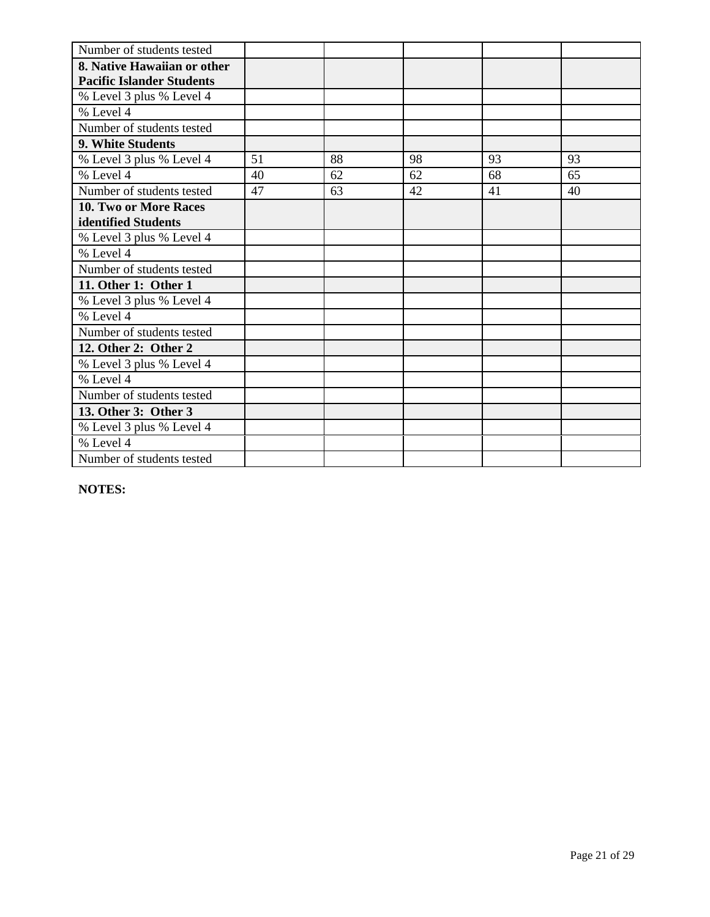| Number of students tested        |    |    |    |    |    |
|----------------------------------|----|----|----|----|----|
| 8. Native Hawaiian or other      |    |    |    |    |    |
| <b>Pacific Islander Students</b> |    |    |    |    |    |
| % Level 3 plus % Level 4         |    |    |    |    |    |
| % Level 4                        |    |    |    |    |    |
| Number of students tested        |    |    |    |    |    |
| 9. White Students                |    |    |    |    |    |
| % Level 3 plus % Level 4         | 51 | 88 | 98 | 93 | 93 |
| % Level 4                        | 40 | 62 | 62 | 68 | 65 |
| Number of students tested        | 47 | 63 | 42 | 41 | 40 |
| 10. Two or More Races            |    |    |    |    |    |
| identified Students              |    |    |    |    |    |
| % Level 3 plus % Level 4         |    |    |    |    |    |
| % Level 4                        |    |    |    |    |    |
| Number of students tested        |    |    |    |    |    |
| 11. Other 1: Other 1             |    |    |    |    |    |
| % Level 3 plus % Level 4         |    |    |    |    |    |
| % Level 4                        |    |    |    |    |    |
| Number of students tested        |    |    |    |    |    |
| 12. Other 2: Other 2             |    |    |    |    |    |
| % Level 3 plus % Level 4         |    |    |    |    |    |
| % Level 4                        |    |    |    |    |    |
| Number of students tested        |    |    |    |    |    |
| 13. Other 3: Other 3             |    |    |    |    |    |
| % Level 3 plus % Level 4         |    |    |    |    |    |
| % Level 4                        |    |    |    |    |    |
| Number of students tested        |    |    |    |    |    |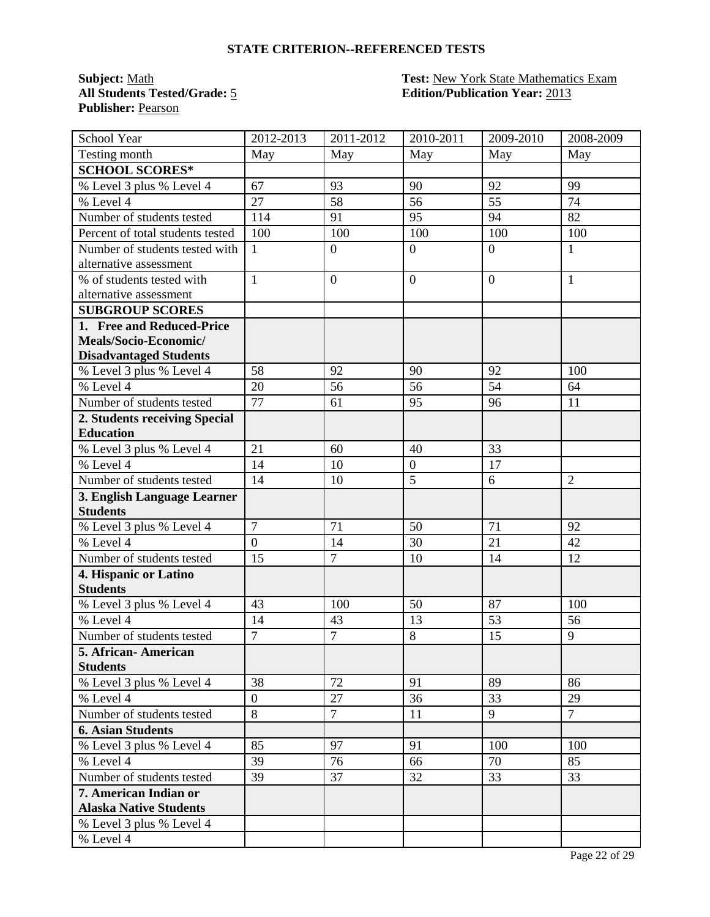**Publisher:** Pearson

# **Subject:** <u>Math **Test:** New York State Mathematics Exam</u><br> **All Students Tested/Grade:** 5 **Test: Edition/Publication Year:** 2013 **All Students Tested/Grade:** 5 **Edition/Publication Year:** 2013

| School Year                              | 2012-2013      | 2011-2012        | 2010-2011        | 2009-2010      | 2008-2009      |
|------------------------------------------|----------------|------------------|------------------|----------------|----------------|
| Testing month                            | May            | May              | May              | May            | May            |
| <b>SCHOOL SCORES*</b>                    |                |                  |                  |                |                |
| % Level 3 plus % Level 4                 | 67             | 93               | 90               | 92             | 99             |
| % Level $\overline{4}$                   | 27             | 58               | 56               | 55             | 74             |
| Number of students tested                | 114            | 91               | 95               | 94             | 82             |
| Percent of total students tested         | 100            | 100              | 100              | 100            | 100            |
| Number of students tested with           | $\mathbf{1}$   | $\boldsymbol{0}$ | $\overline{0}$   | $\theta$       | 1              |
| alternative assessment                   |                |                  |                  |                |                |
| % of students tested with                | $\mathbf{1}$   | $\overline{0}$   | $\overline{0}$   | $\overline{0}$ | $\mathbf{1}$   |
| alternative assessment                   |                |                  |                  |                |                |
| <b>SUBGROUP SCORES</b>                   |                |                  |                  |                |                |
| 1. Free and Reduced-Price                |                |                  |                  |                |                |
| Meals/Socio-Economic/                    |                |                  |                  |                |                |
| <b>Disadvantaged Students</b>            |                |                  |                  |                |                |
| % Level 3 plus % Level 4                 | 58             | 92               | 90               | 92             | 100            |
| % Level 4                                | 20             | 56               | 56               | 54             | 64             |
| Number of students tested                | 77             | 61               | 95               | 96             | 11             |
| 2. Students receiving Special            |                |                  |                  |                |                |
| <b>Education</b>                         |                |                  |                  |                |                |
| % Level 3 plus % Level 4                 | 21             | 60               | 40               | 33             |                |
| % Level 4                                | 14             | 10               | $\boldsymbol{0}$ | 17             |                |
| Number of students tested                | 14             | 10               | 5                | 6              | $\overline{2}$ |
| 3. English Language Learner              |                |                  |                  |                |                |
| <b>Students</b>                          | $\overline{7}$ |                  |                  | 71             |                |
| % Level 3 plus % Level 4<br>% Level 4    | $\overline{0}$ | 71               | 50               | 21             | 92             |
|                                          |                | 14               | 30               |                | 42             |
| Number of students tested                | 15             | $\overline{7}$   | 10               | 14             | 12             |
| 4. Hispanic or Latino<br><b>Students</b> |                |                  |                  |                |                |
| % Level 3 plus % Level 4                 | 43             | 100              | 50               | 87             | 100            |
| % Level 4                                | 14             | 43               | 13               | 53             | 56             |
| Number of students tested                | $\overline{7}$ | $\overline{7}$   | 8                | 15             | 9              |
| 5. African- American                     |                |                  |                  |                |                |
| <b>Students</b>                          |                |                  |                  |                |                |
| % Level 3 plus % Level 4                 | 38             | 72               | 91               | 89             | 86             |
| % Level 4                                | $\overline{0}$ | 27               | 36               | 33             | 29             |
| Number of students tested                | 8              | $\overline{7}$   | 11               | 9              | $\overline{7}$ |
| <b>6. Asian Students</b>                 |                |                  |                  |                |                |
| % Level 3 plus % Level 4                 | 85             | 97               | 91               | 100            | 100            |
| % Level 4                                | 39             | 76               | 66               | 70             | 85             |
| Number of students tested                | 39             | 37               | 32               | 33             | 33             |
| 7. American Indian or                    |                |                  |                  |                |                |
| <b>Alaska Native Students</b>            |                |                  |                  |                |                |
| % Level 3 plus % Level 4                 |                |                  |                  |                |                |
| % Level 4                                |                |                  |                  |                |                |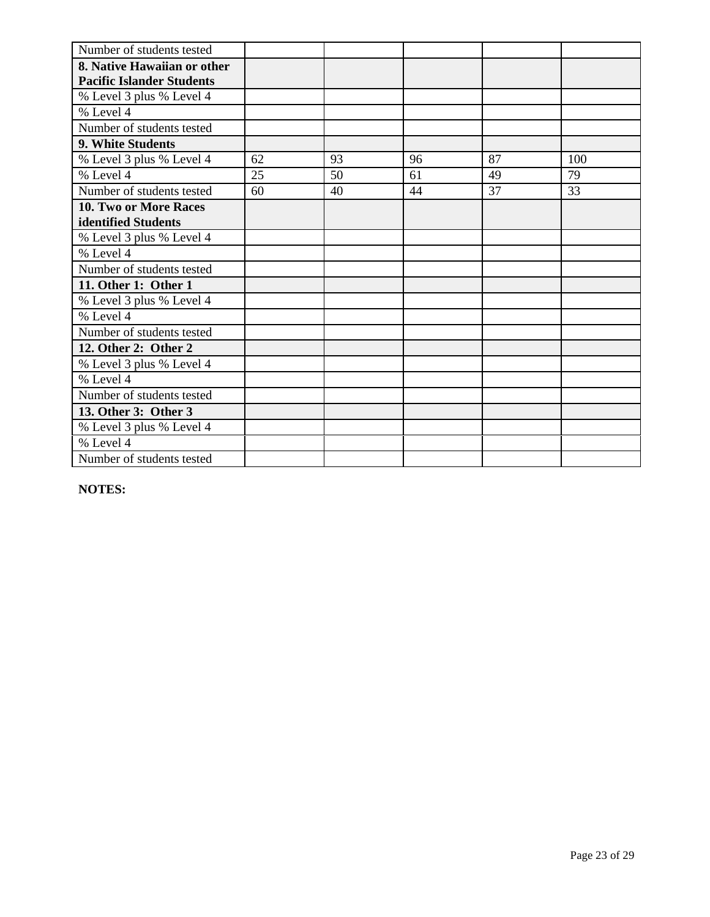| Number of students tested        |    |    |    |    |     |
|----------------------------------|----|----|----|----|-----|
| 8. Native Hawaiian or other      |    |    |    |    |     |
| <b>Pacific Islander Students</b> |    |    |    |    |     |
| % Level 3 plus % Level 4         |    |    |    |    |     |
| % Level 4                        |    |    |    |    |     |
| Number of students tested        |    |    |    |    |     |
| 9. White Students                |    |    |    |    |     |
| % Level 3 plus % Level 4         | 62 | 93 | 96 | 87 | 100 |
| % Level 4                        | 25 | 50 | 61 | 49 | 79  |
| Number of students tested        | 60 | 40 | 44 | 37 | 33  |
| 10. Two or More Races            |    |    |    |    |     |
| identified Students              |    |    |    |    |     |
| % Level 3 plus % Level 4         |    |    |    |    |     |
| % Level 4                        |    |    |    |    |     |
| Number of students tested        |    |    |    |    |     |
| 11. Other 1: Other 1             |    |    |    |    |     |
| % Level 3 plus % Level 4         |    |    |    |    |     |
| % Level 4                        |    |    |    |    |     |
| Number of students tested        |    |    |    |    |     |
| 12. Other 2: Other 2             |    |    |    |    |     |
| % Level 3 plus % Level 4         |    |    |    |    |     |
| % Level 4                        |    |    |    |    |     |
| Number of students tested        |    |    |    |    |     |
| 13. Other 3: Other 3             |    |    |    |    |     |
| % Level 3 plus % Level 4         |    |    |    |    |     |
| % Level 4                        |    |    |    |    |     |
| Number of students tested        |    |    |    |    |     |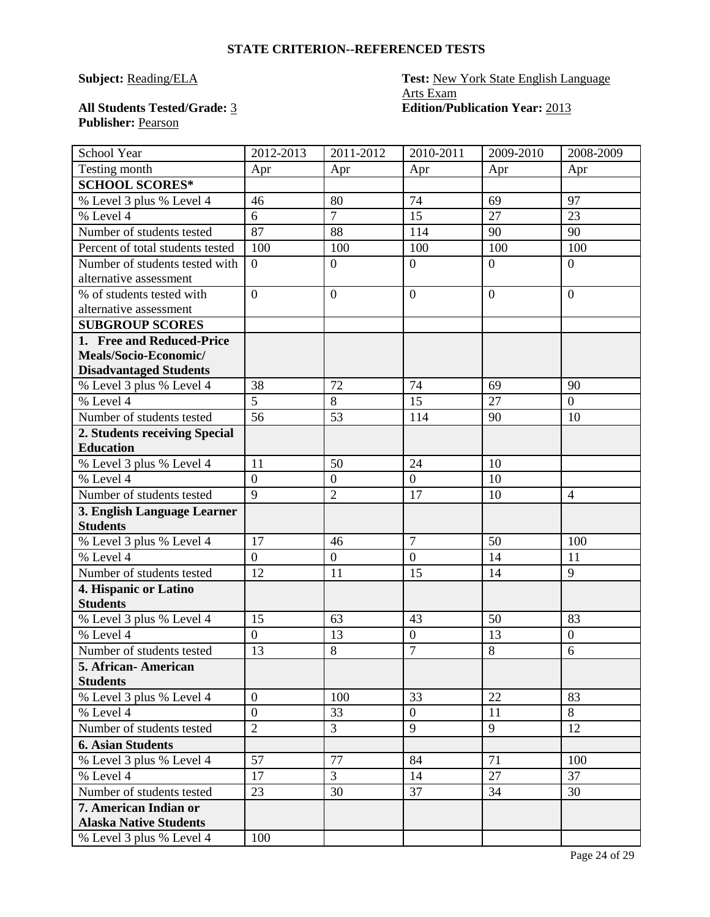# **Publisher:** Pearson

# **Subject: Reading/ELA Test: New York State English Language** Arts Exam **All Students Tested/Grade:** 3 **Edition/Publication Year:** 2013

| Testing month<br>Apr<br>Apr<br>Apr<br>Apr<br>Apr<br><b>SCHOOL SCORES*</b><br>74<br>% Level 3 plus % Level 4<br>46<br>80<br>69<br>97<br>$\overline{7}$<br>$\overline{15}$<br>$\overline{27}$<br>$\overline{23}$<br>$%$ Level 4<br>6<br>87<br>Number of students tested<br>88<br>114<br>90<br>90<br>Percent of total students tested<br>100<br>100<br>100<br>100<br>100<br>$\overline{0}$<br>Number of students tested with<br>$\theta$<br>$\overline{0}$<br>$\overline{0}$<br>$\overline{0}$<br>alternative assessment<br>$\overline{0}$<br>$\overline{0}$<br>$\mathbf{0}$<br>$\overline{0}$<br>% of students tested with<br>$\overline{0}$<br>alternative assessment<br><b>SUBGROUP SCORES</b><br>1. Free and Reduced-Price<br>Meals/Socio-Economic/<br><b>Disadvantaged Students</b><br>72<br>% Level 3 plus % Level 4<br>38<br>74<br>69<br>90<br>$\overline{5}$<br>% Level 4<br>15<br>27<br>8<br>$\overline{0}$<br>56<br>Number of students tested<br>114<br>90<br>53<br>10<br>2. Students receiving Special<br><b>Education</b><br>% Level 3 plus % Level 4<br>11<br>50<br>10<br>24<br>$\overline{0}$<br>$\mathbf{0}$<br>$\overline{0}$<br>10<br>% Level 4<br>9<br>$\overline{2}$<br>Number of students tested<br>17<br>10<br>$\overline{4}$<br>3. English Language Learner<br><b>Students</b><br>$\overline{7}$<br>17<br>50<br>100<br>% Level 3 plus % Level 4<br>46<br>% Level 4<br>$\overline{0}$<br>$\overline{0}$<br>$\overline{0}$<br>14<br>11<br>Number of students tested<br>9<br>12<br>15<br>14<br>11<br>4. Hispanic or Latino<br><b>Students</b><br>15<br>43<br>50<br>83<br>% Level 3 plus % Level 4<br>63<br>% Level 4<br>$\overline{0}$<br>13<br>$\mathbf{0}$<br>13<br>$\boldsymbol{0}$<br>$\overline{7}$<br>8<br>13<br>8<br>Number of students tested<br>6<br>5. African- American<br><b>Students</b><br>$\overline{0}$<br>33<br>22<br>83<br>% Level 3 plus % Level 4<br>100<br>$\overline{0}$<br>$\mathbf{0}$<br>8<br>% Level 4<br>33<br>11<br>$\overline{2}$<br>9<br>$\overline{3}$<br>9<br>Number of students tested<br>12<br><b>6. Asian Students</b><br>57<br>% Level 3 plus % Level 4<br>77<br>84<br>71<br>100<br>% Level 4<br>3<br>27<br>37<br>17<br>14<br>Number of students tested<br>23<br>37<br>34<br>30<br>30<br>7. American Indian or<br><b>Alaska Native Students</b><br>% Level 3 plus % Level 4<br>100 | School Year | 2012-2013 | 2011-2012 | 2010-2011 | 2009-2010 | 2008-2009 |
|----------------------------------------------------------------------------------------------------------------------------------------------------------------------------------------------------------------------------------------------------------------------------------------------------------------------------------------------------------------------------------------------------------------------------------------------------------------------------------------------------------------------------------------------------------------------------------------------------------------------------------------------------------------------------------------------------------------------------------------------------------------------------------------------------------------------------------------------------------------------------------------------------------------------------------------------------------------------------------------------------------------------------------------------------------------------------------------------------------------------------------------------------------------------------------------------------------------------------------------------------------------------------------------------------------------------------------------------------------------------------------------------------------------------------------------------------------------------------------------------------------------------------------------------------------------------------------------------------------------------------------------------------------------------------------------------------------------------------------------------------------------------------------------------------------------------------------------------------------------------------------------------------------------------------------------------------------------------------------------------------------------------------------------------------------------------------------------------------------------------------------------------------------------------------------------------------------------------------------------------------------------------------------------------------------------------------------------|-------------|-----------|-----------|-----------|-----------|-----------|
|                                                                                                                                                                                                                                                                                                                                                                                                                                                                                                                                                                                                                                                                                                                                                                                                                                                                                                                                                                                                                                                                                                                                                                                                                                                                                                                                                                                                                                                                                                                                                                                                                                                                                                                                                                                                                                                                                                                                                                                                                                                                                                                                                                                                                                                                                                                                        |             |           |           |           |           |           |
|                                                                                                                                                                                                                                                                                                                                                                                                                                                                                                                                                                                                                                                                                                                                                                                                                                                                                                                                                                                                                                                                                                                                                                                                                                                                                                                                                                                                                                                                                                                                                                                                                                                                                                                                                                                                                                                                                                                                                                                                                                                                                                                                                                                                                                                                                                                                        |             |           |           |           |           |           |
|                                                                                                                                                                                                                                                                                                                                                                                                                                                                                                                                                                                                                                                                                                                                                                                                                                                                                                                                                                                                                                                                                                                                                                                                                                                                                                                                                                                                                                                                                                                                                                                                                                                                                                                                                                                                                                                                                                                                                                                                                                                                                                                                                                                                                                                                                                                                        |             |           |           |           |           |           |
|                                                                                                                                                                                                                                                                                                                                                                                                                                                                                                                                                                                                                                                                                                                                                                                                                                                                                                                                                                                                                                                                                                                                                                                                                                                                                                                                                                                                                                                                                                                                                                                                                                                                                                                                                                                                                                                                                                                                                                                                                                                                                                                                                                                                                                                                                                                                        |             |           |           |           |           |           |
|                                                                                                                                                                                                                                                                                                                                                                                                                                                                                                                                                                                                                                                                                                                                                                                                                                                                                                                                                                                                                                                                                                                                                                                                                                                                                                                                                                                                                                                                                                                                                                                                                                                                                                                                                                                                                                                                                                                                                                                                                                                                                                                                                                                                                                                                                                                                        |             |           |           |           |           |           |
|                                                                                                                                                                                                                                                                                                                                                                                                                                                                                                                                                                                                                                                                                                                                                                                                                                                                                                                                                                                                                                                                                                                                                                                                                                                                                                                                                                                                                                                                                                                                                                                                                                                                                                                                                                                                                                                                                                                                                                                                                                                                                                                                                                                                                                                                                                                                        |             |           |           |           |           |           |
|                                                                                                                                                                                                                                                                                                                                                                                                                                                                                                                                                                                                                                                                                                                                                                                                                                                                                                                                                                                                                                                                                                                                                                                                                                                                                                                                                                                                                                                                                                                                                                                                                                                                                                                                                                                                                                                                                                                                                                                                                                                                                                                                                                                                                                                                                                                                        |             |           |           |           |           |           |
|                                                                                                                                                                                                                                                                                                                                                                                                                                                                                                                                                                                                                                                                                                                                                                                                                                                                                                                                                                                                                                                                                                                                                                                                                                                                                                                                                                                                                                                                                                                                                                                                                                                                                                                                                                                                                                                                                                                                                                                                                                                                                                                                                                                                                                                                                                                                        |             |           |           |           |           |           |
|                                                                                                                                                                                                                                                                                                                                                                                                                                                                                                                                                                                                                                                                                                                                                                                                                                                                                                                                                                                                                                                                                                                                                                                                                                                                                                                                                                                                                                                                                                                                                                                                                                                                                                                                                                                                                                                                                                                                                                                                                                                                                                                                                                                                                                                                                                                                        |             |           |           |           |           |           |
|                                                                                                                                                                                                                                                                                                                                                                                                                                                                                                                                                                                                                                                                                                                                                                                                                                                                                                                                                                                                                                                                                                                                                                                                                                                                                                                                                                                                                                                                                                                                                                                                                                                                                                                                                                                                                                                                                                                                                                                                                                                                                                                                                                                                                                                                                                                                        |             |           |           |           |           |           |
|                                                                                                                                                                                                                                                                                                                                                                                                                                                                                                                                                                                                                                                                                                                                                                                                                                                                                                                                                                                                                                                                                                                                                                                                                                                                                                                                                                                                                                                                                                                                                                                                                                                                                                                                                                                                                                                                                                                                                                                                                                                                                                                                                                                                                                                                                                                                        |             |           |           |           |           |           |
|                                                                                                                                                                                                                                                                                                                                                                                                                                                                                                                                                                                                                                                                                                                                                                                                                                                                                                                                                                                                                                                                                                                                                                                                                                                                                                                                                                                                                                                                                                                                                                                                                                                                                                                                                                                                                                                                                                                                                                                                                                                                                                                                                                                                                                                                                                                                        |             |           |           |           |           |           |
|                                                                                                                                                                                                                                                                                                                                                                                                                                                                                                                                                                                                                                                                                                                                                                                                                                                                                                                                                                                                                                                                                                                                                                                                                                                                                                                                                                                                                                                                                                                                                                                                                                                                                                                                                                                                                                                                                                                                                                                                                                                                                                                                                                                                                                                                                                                                        |             |           |           |           |           |           |
|                                                                                                                                                                                                                                                                                                                                                                                                                                                                                                                                                                                                                                                                                                                                                                                                                                                                                                                                                                                                                                                                                                                                                                                                                                                                                                                                                                                                                                                                                                                                                                                                                                                                                                                                                                                                                                                                                                                                                                                                                                                                                                                                                                                                                                                                                                                                        |             |           |           |           |           |           |
|                                                                                                                                                                                                                                                                                                                                                                                                                                                                                                                                                                                                                                                                                                                                                                                                                                                                                                                                                                                                                                                                                                                                                                                                                                                                                                                                                                                                                                                                                                                                                                                                                                                                                                                                                                                                                                                                                                                                                                                                                                                                                                                                                                                                                                                                                                                                        |             |           |           |           |           |           |
|                                                                                                                                                                                                                                                                                                                                                                                                                                                                                                                                                                                                                                                                                                                                                                                                                                                                                                                                                                                                                                                                                                                                                                                                                                                                                                                                                                                                                                                                                                                                                                                                                                                                                                                                                                                                                                                                                                                                                                                                                                                                                                                                                                                                                                                                                                                                        |             |           |           |           |           |           |
|                                                                                                                                                                                                                                                                                                                                                                                                                                                                                                                                                                                                                                                                                                                                                                                                                                                                                                                                                                                                                                                                                                                                                                                                                                                                                                                                                                                                                                                                                                                                                                                                                                                                                                                                                                                                                                                                                                                                                                                                                                                                                                                                                                                                                                                                                                                                        |             |           |           |           |           |           |
|                                                                                                                                                                                                                                                                                                                                                                                                                                                                                                                                                                                                                                                                                                                                                                                                                                                                                                                                                                                                                                                                                                                                                                                                                                                                                                                                                                                                                                                                                                                                                                                                                                                                                                                                                                                                                                                                                                                                                                                                                                                                                                                                                                                                                                                                                                                                        |             |           |           |           |           |           |
|                                                                                                                                                                                                                                                                                                                                                                                                                                                                                                                                                                                                                                                                                                                                                                                                                                                                                                                                                                                                                                                                                                                                                                                                                                                                                                                                                                                                                                                                                                                                                                                                                                                                                                                                                                                                                                                                                                                                                                                                                                                                                                                                                                                                                                                                                                                                        |             |           |           |           |           |           |
|                                                                                                                                                                                                                                                                                                                                                                                                                                                                                                                                                                                                                                                                                                                                                                                                                                                                                                                                                                                                                                                                                                                                                                                                                                                                                                                                                                                                                                                                                                                                                                                                                                                                                                                                                                                                                                                                                                                                                                                                                                                                                                                                                                                                                                                                                                                                        |             |           |           |           |           |           |
|                                                                                                                                                                                                                                                                                                                                                                                                                                                                                                                                                                                                                                                                                                                                                                                                                                                                                                                                                                                                                                                                                                                                                                                                                                                                                                                                                                                                                                                                                                                                                                                                                                                                                                                                                                                                                                                                                                                                                                                                                                                                                                                                                                                                                                                                                                                                        |             |           |           |           |           |           |
|                                                                                                                                                                                                                                                                                                                                                                                                                                                                                                                                                                                                                                                                                                                                                                                                                                                                                                                                                                                                                                                                                                                                                                                                                                                                                                                                                                                                                                                                                                                                                                                                                                                                                                                                                                                                                                                                                                                                                                                                                                                                                                                                                                                                                                                                                                                                        |             |           |           |           |           |           |
|                                                                                                                                                                                                                                                                                                                                                                                                                                                                                                                                                                                                                                                                                                                                                                                                                                                                                                                                                                                                                                                                                                                                                                                                                                                                                                                                                                                                                                                                                                                                                                                                                                                                                                                                                                                                                                                                                                                                                                                                                                                                                                                                                                                                                                                                                                                                        |             |           |           |           |           |           |
|                                                                                                                                                                                                                                                                                                                                                                                                                                                                                                                                                                                                                                                                                                                                                                                                                                                                                                                                                                                                                                                                                                                                                                                                                                                                                                                                                                                                                                                                                                                                                                                                                                                                                                                                                                                                                                                                                                                                                                                                                                                                                                                                                                                                                                                                                                                                        |             |           |           |           |           |           |
|                                                                                                                                                                                                                                                                                                                                                                                                                                                                                                                                                                                                                                                                                                                                                                                                                                                                                                                                                                                                                                                                                                                                                                                                                                                                                                                                                                                                                                                                                                                                                                                                                                                                                                                                                                                                                                                                                                                                                                                                                                                                                                                                                                                                                                                                                                                                        |             |           |           |           |           |           |
|                                                                                                                                                                                                                                                                                                                                                                                                                                                                                                                                                                                                                                                                                                                                                                                                                                                                                                                                                                                                                                                                                                                                                                                                                                                                                                                                                                                                                                                                                                                                                                                                                                                                                                                                                                                                                                                                                                                                                                                                                                                                                                                                                                                                                                                                                                                                        |             |           |           |           |           |           |
|                                                                                                                                                                                                                                                                                                                                                                                                                                                                                                                                                                                                                                                                                                                                                                                                                                                                                                                                                                                                                                                                                                                                                                                                                                                                                                                                                                                                                                                                                                                                                                                                                                                                                                                                                                                                                                                                                                                                                                                                                                                                                                                                                                                                                                                                                                                                        |             |           |           |           |           |           |
|                                                                                                                                                                                                                                                                                                                                                                                                                                                                                                                                                                                                                                                                                                                                                                                                                                                                                                                                                                                                                                                                                                                                                                                                                                                                                                                                                                                                                                                                                                                                                                                                                                                                                                                                                                                                                                                                                                                                                                                                                                                                                                                                                                                                                                                                                                                                        |             |           |           |           |           |           |
|                                                                                                                                                                                                                                                                                                                                                                                                                                                                                                                                                                                                                                                                                                                                                                                                                                                                                                                                                                                                                                                                                                                                                                                                                                                                                                                                                                                                                                                                                                                                                                                                                                                                                                                                                                                                                                                                                                                                                                                                                                                                                                                                                                                                                                                                                                                                        |             |           |           |           |           |           |
|                                                                                                                                                                                                                                                                                                                                                                                                                                                                                                                                                                                                                                                                                                                                                                                                                                                                                                                                                                                                                                                                                                                                                                                                                                                                                                                                                                                                                                                                                                                                                                                                                                                                                                                                                                                                                                                                                                                                                                                                                                                                                                                                                                                                                                                                                                                                        |             |           |           |           |           |           |
|                                                                                                                                                                                                                                                                                                                                                                                                                                                                                                                                                                                                                                                                                                                                                                                                                                                                                                                                                                                                                                                                                                                                                                                                                                                                                                                                                                                                                                                                                                                                                                                                                                                                                                                                                                                                                                                                                                                                                                                                                                                                                                                                                                                                                                                                                                                                        |             |           |           |           |           |           |
|                                                                                                                                                                                                                                                                                                                                                                                                                                                                                                                                                                                                                                                                                                                                                                                                                                                                                                                                                                                                                                                                                                                                                                                                                                                                                                                                                                                                                                                                                                                                                                                                                                                                                                                                                                                                                                                                                                                                                                                                                                                                                                                                                                                                                                                                                                                                        |             |           |           |           |           |           |
|                                                                                                                                                                                                                                                                                                                                                                                                                                                                                                                                                                                                                                                                                                                                                                                                                                                                                                                                                                                                                                                                                                                                                                                                                                                                                                                                                                                                                                                                                                                                                                                                                                                                                                                                                                                                                                                                                                                                                                                                                                                                                                                                                                                                                                                                                                                                        |             |           |           |           |           |           |
|                                                                                                                                                                                                                                                                                                                                                                                                                                                                                                                                                                                                                                                                                                                                                                                                                                                                                                                                                                                                                                                                                                                                                                                                                                                                                                                                                                                                                                                                                                                                                                                                                                                                                                                                                                                                                                                                                                                                                                                                                                                                                                                                                                                                                                                                                                                                        |             |           |           |           |           |           |
|                                                                                                                                                                                                                                                                                                                                                                                                                                                                                                                                                                                                                                                                                                                                                                                                                                                                                                                                                                                                                                                                                                                                                                                                                                                                                                                                                                                                                                                                                                                                                                                                                                                                                                                                                                                                                                                                                                                                                                                                                                                                                                                                                                                                                                                                                                                                        |             |           |           |           |           |           |
|                                                                                                                                                                                                                                                                                                                                                                                                                                                                                                                                                                                                                                                                                                                                                                                                                                                                                                                                                                                                                                                                                                                                                                                                                                                                                                                                                                                                                                                                                                                                                                                                                                                                                                                                                                                                                                                                                                                                                                                                                                                                                                                                                                                                                                                                                                                                        |             |           |           |           |           |           |
|                                                                                                                                                                                                                                                                                                                                                                                                                                                                                                                                                                                                                                                                                                                                                                                                                                                                                                                                                                                                                                                                                                                                                                                                                                                                                                                                                                                                                                                                                                                                                                                                                                                                                                                                                                                                                                                                                                                                                                                                                                                                                                                                                                                                                                                                                                                                        |             |           |           |           |           |           |
|                                                                                                                                                                                                                                                                                                                                                                                                                                                                                                                                                                                                                                                                                                                                                                                                                                                                                                                                                                                                                                                                                                                                                                                                                                                                                                                                                                                                                                                                                                                                                                                                                                                                                                                                                                                                                                                                                                                                                                                                                                                                                                                                                                                                                                                                                                                                        |             |           |           |           |           |           |
|                                                                                                                                                                                                                                                                                                                                                                                                                                                                                                                                                                                                                                                                                                                                                                                                                                                                                                                                                                                                                                                                                                                                                                                                                                                                                                                                                                                                                                                                                                                                                                                                                                                                                                                                                                                                                                                                                                                                                                                                                                                                                                                                                                                                                                                                                                                                        |             |           |           |           |           |           |
|                                                                                                                                                                                                                                                                                                                                                                                                                                                                                                                                                                                                                                                                                                                                                                                                                                                                                                                                                                                                                                                                                                                                                                                                                                                                                                                                                                                                                                                                                                                                                                                                                                                                                                                                                                                                                                                                                                                                                                                                                                                                                                                                                                                                                                                                                                                                        |             |           |           |           |           |           |
|                                                                                                                                                                                                                                                                                                                                                                                                                                                                                                                                                                                                                                                                                                                                                                                                                                                                                                                                                                                                                                                                                                                                                                                                                                                                                                                                                                                                                                                                                                                                                                                                                                                                                                                                                                                                                                                                                                                                                                                                                                                                                                                                                                                                                                                                                                                                        |             |           |           |           |           |           |
|                                                                                                                                                                                                                                                                                                                                                                                                                                                                                                                                                                                                                                                                                                                                                                                                                                                                                                                                                                                                                                                                                                                                                                                                                                                                                                                                                                                                                                                                                                                                                                                                                                                                                                                                                                                                                                                                                                                                                                                                                                                                                                                                                                                                                                                                                                                                        |             |           |           |           |           |           |
|                                                                                                                                                                                                                                                                                                                                                                                                                                                                                                                                                                                                                                                                                                                                                                                                                                                                                                                                                                                                                                                                                                                                                                                                                                                                                                                                                                                                                                                                                                                                                                                                                                                                                                                                                                                                                                                                                                                                                                                                                                                                                                                                                                                                                                                                                                                                        |             |           |           |           |           |           |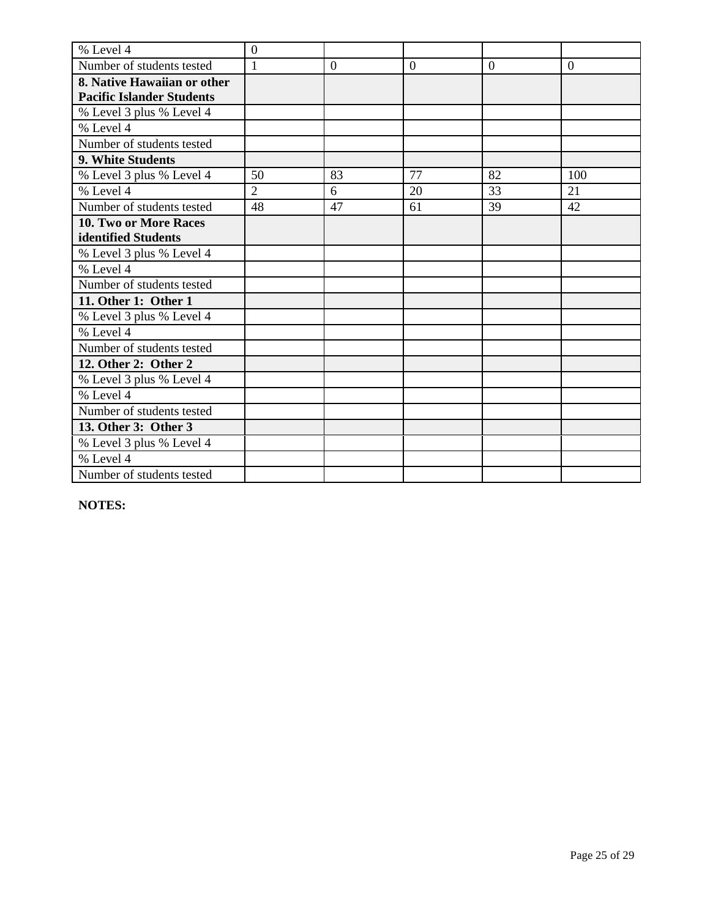| % Level 4                        | $\boldsymbol{0}$ |                |              |                |                |
|----------------------------------|------------------|----------------|--------------|----------------|----------------|
| Number of students tested        | $\mathbf{1}$     | $\overline{0}$ | $\mathbf{0}$ | $\overline{0}$ | $\overline{0}$ |
| 8. Native Hawaiian or other      |                  |                |              |                |                |
| <b>Pacific Islander Students</b> |                  |                |              |                |                |
| % Level 3 plus % Level 4         |                  |                |              |                |                |
| % Level 4                        |                  |                |              |                |                |
| Number of students tested        |                  |                |              |                |                |
| 9. White Students                |                  |                |              |                |                |
| % Level 3 plus % Level 4         | 50               | 83             | 77           | 82             | 100            |
| % Level 4                        | $\overline{2}$   | 6              | 20           | 33             | 21             |
| Number of students tested        | 48               | 47             | 61           | 39             | 42             |
| 10. Two or More Races            |                  |                |              |                |                |
| identified Students              |                  |                |              |                |                |
| % Level 3 plus % Level 4         |                  |                |              |                |                |
| % Level 4                        |                  |                |              |                |                |
| Number of students tested        |                  |                |              |                |                |
| 11. Other 1: Other 1             |                  |                |              |                |                |
| % Level 3 plus % Level 4         |                  |                |              |                |                |
| % Level 4                        |                  |                |              |                |                |
| Number of students tested        |                  |                |              |                |                |
| 12. Other 2: Other 2             |                  |                |              |                |                |
| % Level 3 plus % Level 4         |                  |                |              |                |                |
| % Level 4                        |                  |                |              |                |                |
| Number of students tested        |                  |                |              |                |                |
| 13. Other 3: Other 3             |                  |                |              |                |                |
| % Level 3 plus % Level 4         |                  |                |              |                |                |
| % Level 4                        |                  |                |              |                |                |
| Number of students tested        |                  |                |              |                |                |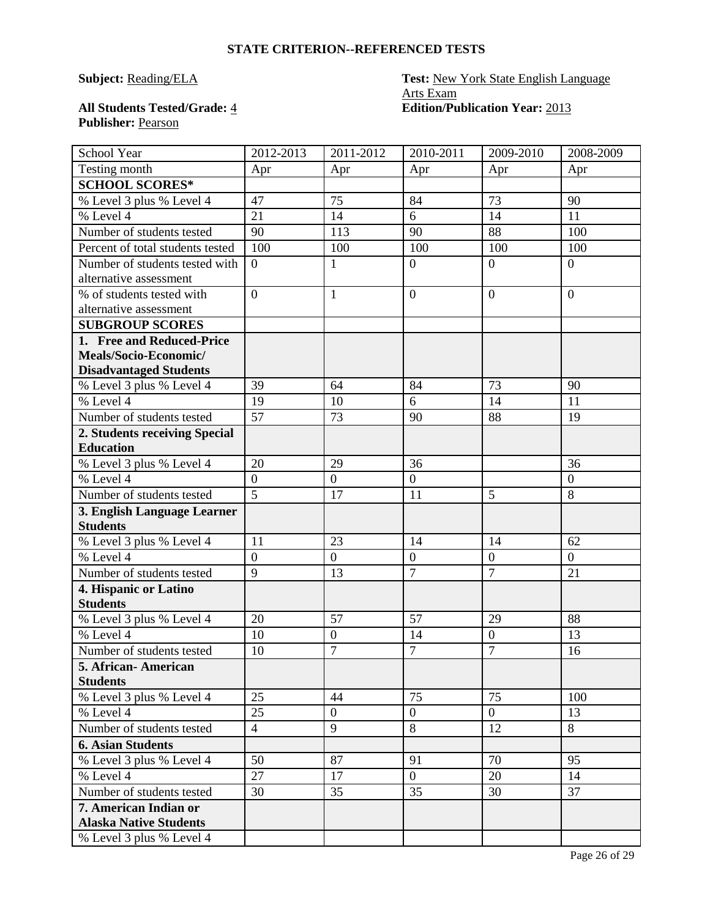# **Publisher:** Pearson

# **Subject: Reading/ELA Test: New York State English Language** Arts Exam All Students Tested/Grade:  $\frac{4}{1}$  **Edition/Publication Year:** 2013

| School Year                      | 2012-2013      | 2011-2012        | 2010-2011        | 2009-2010        | 2008-2009      |
|----------------------------------|----------------|------------------|------------------|------------------|----------------|
| Testing month                    | Apr            | Apr              | Apr              | Apr              | Apr            |
| <b>SCHOOL SCORES*</b>            |                |                  |                  |                  |                |
| % Level 3 plus % Level 4         | 47             | 75               | 84               | 73               | 90             |
| % Level 4                        | 21             | 14               | 6                | 14               | 11             |
| Number of students tested        | 90             | 113              | 90               | 88               | 100            |
| Percent of total students tested | 100            | 100              | 100              | 100              | 100            |
| Number of students tested with   | $\theta$       | $\mathbf{1}$     | $\mathbf{0}$     | $\overline{0}$   | $\overline{0}$ |
| alternative assessment           |                |                  |                  |                  |                |
| % of students tested with        | $\overline{0}$ | $\mathbf{1}$     | $\mathbf{0}$     | $\overline{0}$   | $\overline{0}$ |
| alternative assessment           |                |                  |                  |                  |                |
| <b>SUBGROUP SCORES</b>           |                |                  |                  |                  |                |
| 1. Free and Reduced-Price        |                |                  |                  |                  |                |
| Meals/Socio-Economic/            |                |                  |                  |                  |                |
| <b>Disadvantaged Students</b>    |                |                  |                  |                  |                |
| % Level 3 plus % Level 4         | 39             | 64               | 84               | 73               | 90             |
| % Level 4                        | 19             | 10               | 6                | 14               | 11             |
| Number of students tested        | 57             | 73               | 90               | 88               | 19             |
| 2. Students receiving Special    |                |                  |                  |                  |                |
| <b>Education</b>                 |                |                  |                  |                  |                |
| % Level 3 plus % Level 4         | 20             | 29               | 36               |                  | 36             |
| % Level 4                        | $\overline{0}$ | $\overline{0}$   | $\boldsymbol{0}$ |                  | $\overline{0}$ |
| Number of students tested        | $\overline{5}$ | 17               | 11               | 5                | 8              |
| 3. English Language Learner      |                |                  |                  |                  |                |
| <b>Students</b>                  |                |                  |                  |                  |                |
| % Level 3 plus % Level 4         | 11             | 23               | 14               | 14               | 62             |
| % Level 4                        | $\overline{0}$ | $\overline{0}$   | $\boldsymbol{0}$ | $\overline{0}$   | $\overline{0}$ |
| Number of students tested        | $\overline{9}$ | 13               | $\overline{7}$   | $\overline{7}$   | 21             |
| 4. Hispanic or Latino            |                |                  |                  |                  |                |
| <b>Students</b>                  |                |                  |                  |                  |                |
| % Level 3 plus % Level 4         | 20             | 57               | 57               | 29               | 88             |
| % Level 4                        | 10             | $\boldsymbol{0}$ | 14               | $\boldsymbol{0}$ | 13             |
| Number of students tested        | 10             | $\overline{7}$   | $\overline{7}$   | $\overline{7}$   | 16             |
| 5. African- American             |                |                  |                  |                  |                |
| <b>Students</b>                  |                |                  |                  |                  |                |
| % Level 3 plus % Level 4         | 25             | 44               | 75               | 75               | 100            |
| % Level 4                        | 25             | $\overline{0}$   | $\mathbf{0}$     | $\overline{0}$   | 13             |
| Number of students tested        | $\overline{4}$ | 9                | 8                | 12               | 8              |
| <b>6. Asian Students</b>         |                |                  |                  |                  |                |
| % Level 3 plus % Level 4         | 50             | 87               | 91               | 70               | 95             |
| % Level 4                        | 27             | 17               | $\overline{0}$   | 20               | 14             |
| Number of students tested        | 30             | 35               | 35               | 30               | 37             |
| 7. American Indian or            |                |                  |                  |                  |                |
| <b>Alaska Native Students</b>    |                |                  |                  |                  |                |
| % Level 3 plus % Level 4         |                |                  |                  |                  |                |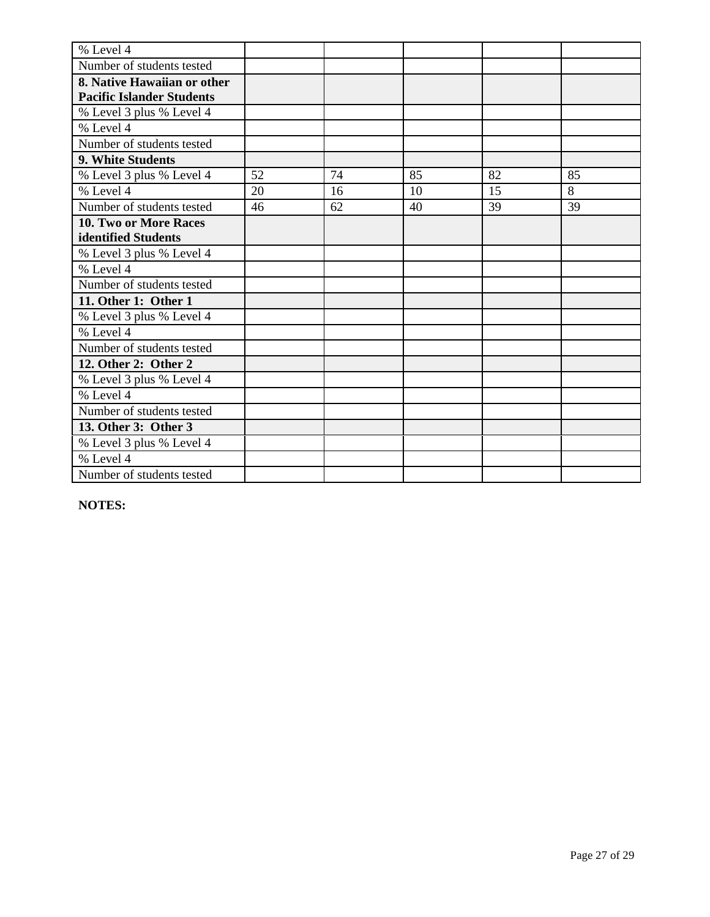| % Level 4                        |    |    |    |    |    |
|----------------------------------|----|----|----|----|----|
| Number of students tested        |    |    |    |    |    |
| 8. Native Hawaiian or other      |    |    |    |    |    |
| <b>Pacific Islander Students</b> |    |    |    |    |    |
| % Level 3 plus % Level 4         |    |    |    |    |    |
| % Level 4                        |    |    |    |    |    |
| Number of students tested        |    |    |    |    |    |
| 9. White Students                |    |    |    |    |    |
| % Level 3 plus % Level 4         | 52 | 74 | 85 | 82 | 85 |
| % Level 4                        | 20 | 16 | 10 | 15 | 8  |
| Number of students tested        | 46 | 62 | 40 | 39 | 39 |
| 10. Two or More Races            |    |    |    |    |    |
| identified Students              |    |    |    |    |    |
| % Level 3 plus % Level 4         |    |    |    |    |    |
| % Level 4                        |    |    |    |    |    |
| Number of students tested        |    |    |    |    |    |
| 11. Other 1: Other 1             |    |    |    |    |    |
| % Level 3 plus % Level 4         |    |    |    |    |    |
| % Level 4                        |    |    |    |    |    |
| Number of students tested        |    |    |    |    |    |
| 12. Other 2: Other 2             |    |    |    |    |    |
| % Level 3 plus % Level 4         |    |    |    |    |    |
| % Level 4                        |    |    |    |    |    |
| Number of students tested        |    |    |    |    |    |
| 13. Other 3: Other 3             |    |    |    |    |    |
| % Level 3 plus % Level 4         |    |    |    |    |    |
| % Level 4                        |    |    |    |    |    |
| Number of students tested        |    |    |    |    |    |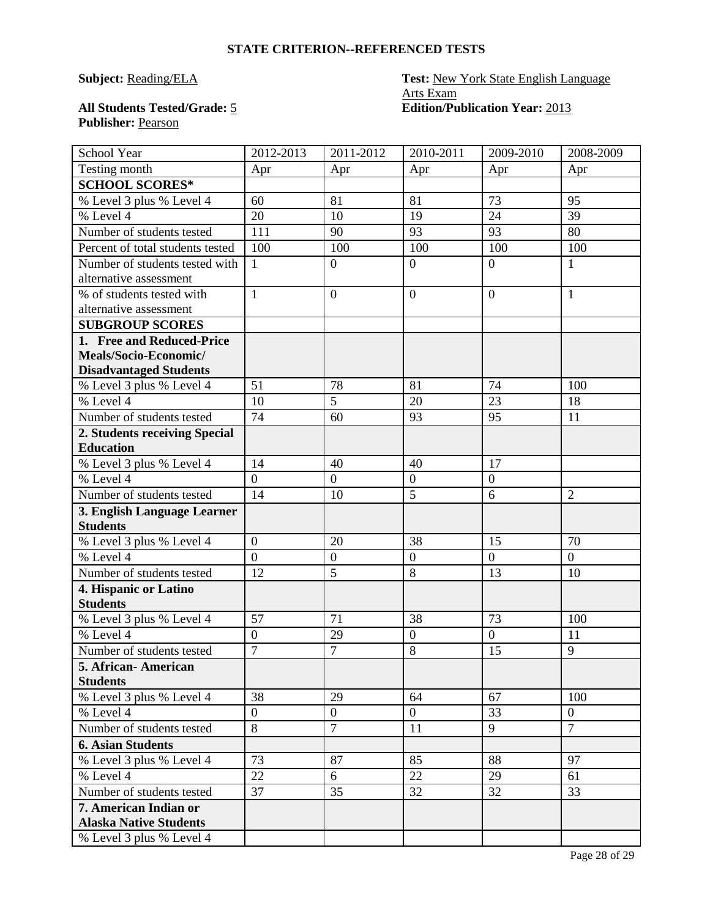# **Publisher:** Pearson

# **Subject: Reading/ELA Test: New York State English Language** Arts Exam All Students Tested/Grade: 5 **Edition/Publication Year:** 2013

| School Year                                            | 2012-2013        | 2011-2012      | 2010-2011        | 2009-2010      | 2008-2009       |
|--------------------------------------------------------|------------------|----------------|------------------|----------------|-----------------|
| Testing month                                          | Apr              | Apr            | Apr              | Apr            | Apr             |
| <b>SCHOOL SCORES*</b>                                  |                  |                |                  |                |                 |
| % Level 3 plus % Level 4                               | 60               | 81             | 81               | 73             | 95              |
| % Level 4                                              | 20               | 10             | 19               | 24             | $\overline{39}$ |
| Number of students tested                              | 111              | 90             | 93               | 93             | 80              |
| Percent of total students tested                       | 100              | 100            | 100              | 100            | 100             |
| Number of students tested with                         | 1                | $\overline{0}$ | $\mathbf{0}$     | $\overline{0}$ | $\mathbf{1}$    |
| alternative assessment                                 |                  |                |                  |                |                 |
| % of students tested with                              | 1                | $\overline{0}$ | $\mathbf{0}$     | $\overline{0}$ | $\mathbf{1}$    |
| alternative assessment                                 |                  |                |                  |                |                 |
| <b>SUBGROUP SCORES</b>                                 |                  |                |                  |                |                 |
| 1. Free and Reduced-Price                              |                  |                |                  |                |                 |
| Meals/Socio-Economic/                                  |                  |                |                  |                |                 |
| <b>Disadvantaged Students</b>                          |                  |                |                  |                |                 |
| % Level 3 plus % Level 4                               | 51               | 78             | 81               | 74             | 100             |
| % Level 4                                              | 10               | 5              | 20               | 23             | 18              |
| Number of students tested                              | 74               | 60             | 93               | 95             | 11              |
| 2. Students receiving Special                          |                  |                |                  |                |                 |
| <b>Education</b>                                       |                  |                |                  |                |                 |
| % Level 3 plus % Level 4                               | 14               | 40             | 40               | 17             |                 |
| % Level 4                                              | $\overline{0}$   | $\overline{0}$ | $\boldsymbol{0}$ | $\overline{0}$ |                 |
| Number of students tested                              | 14               | 10             | 5                | 6              | $\overline{2}$  |
| 3. English Language Learner                            |                  |                |                  |                |                 |
| <b>Students</b>                                        |                  |                |                  |                |                 |
| % Level 3 plus % Level 4                               | $\overline{0}$   | 20             | 38               | 15             | 70              |
| % Level 4                                              | $\overline{0}$   | $\overline{0}$ | $\boldsymbol{0}$ | $\overline{0}$ | $\overline{0}$  |
| Number of students tested                              | 12               | 5              | 8                | 13             | 10              |
| 4. Hispanic or Latino                                  |                  |                |                  |                |                 |
| <b>Students</b>                                        |                  |                |                  |                |                 |
| % Level 3 plus % Level 4                               | 57               | 71             | 38               | 73             | 100             |
| % Level 4                                              | $\boldsymbol{0}$ | 29             | $\boldsymbol{0}$ | $\overline{0}$ | 11              |
| Number of students tested                              | $\overline{7}$   | $\overline{7}$ | 8                | 15             | 9               |
| 5. African- American                                   |                  |                |                  |                |                 |
| <b>Students</b>                                        |                  |                |                  |                |                 |
| % Level 3 plus % Level 4                               | 38               | 29             | 64               | 67             | 100             |
| % Level 4                                              | $\overline{0}$   | $\overline{0}$ | $\overline{0}$   | 33             | $\mathbf{0}$    |
| Number of students tested                              | 8                | $\overline{7}$ | 11               | 9              | $\overline{7}$  |
| <b>6. Asian Students</b>                               |                  |                |                  |                |                 |
| % Level 3 plus % Level 4                               | 73               | 87             | 85               | 88             | 97              |
| % Level 4                                              | 22               | 6              | 22               | 29             | 61              |
| Number of students tested                              | 37               | 35             | 32               | 32             | 33              |
| 7. American Indian or<br><b>Alaska Native Students</b> |                  |                |                  |                |                 |
| $\frac{6}{6}$ Level 3 plus % Level 4                   |                  |                |                  |                |                 |
|                                                        |                  |                |                  |                |                 |